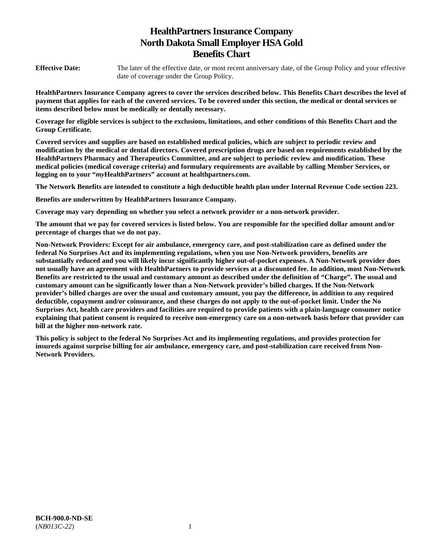# **HealthPartners Insurance Company North Dakota Small Employer HSA Gold Benefits Chart**

**Effective Date:** The later of the effective date, or most recent anniversary date, of the Group Policy and your effective date of coverage under the Group Policy.

**HealthPartners Insurance Company agrees to cover the services described below. This Benefits Chart describes the level of payment that applies for each of the covered services. To be covered under this section, the medical or dental services or items described below must be medically or dentally necessary.** 

**Coverage for eligible services is subject to the exclusions, limitations, and other conditions of this Benefits Chart and the Group Certificate.** 

**Covered services and supplies are based on established medical policies, which are subject to periodic review and modification by the medical or dental directors. Covered prescription drugs are based on requirements established by the HealthPartners Pharmacy and Therapeutics Committee, and are subject to periodic review and modification. These medical policies (medical coverage criteria) and formulary requirements are available by calling Member Services, or logging on to your "***my***HealthPartners" account at [healthpartners.com.](http://healthpartners.com/)** 

**The Network Benefits are intended to constitute a high deductible health plan under Internal Revenue Code section 223.**

**Benefits are underwritten by HealthPartners Insurance Company.** 

**Coverage may vary depending on whether you select a network provider or a non-network provider.** 

**The amount that we pay for covered services is listed below. You are responsible for the specified dollar amount and/or percentage of charges that we do not pay.** 

**Non-Network Providers: Except for air ambulance, emergency care, and post-stabilization care as defined under the federal No Surprises Act and its implementing regulations, when you use Non-Network providers, benefits are substantially reduced and you will likely incur significantly higher out-of-pocket expenses. A Non-Network provider does not usually have an agreement with HealthPartners to provide services at a discounted fee. In addition, most Non-Network Benefits are restricted to the usual and customary amount as described under the definition of "Charge". The usual and customary amount can be significantly lower than a Non-Network provider's billed charges. If the Non-Network provider's billed charges are over the usual and customary amount, you pay the difference, in addition to any required deductible, copayment and/or coinsurance, and these charges do not apply to the out-of-pocket limit. Under the No Surprises Act, health care providers and facilities are required to provide patients with a plain-language consumer notice explaining that patient consent is required to receive non-emergency care on a non-network basis before that provider can bill at the higher non-network rate.** 

**This policy is subject to the federal No Surprises Act and its implementing regulations, and provides protection for insureds against surprise billing for air ambulance, emergency care, and post-stabilization care received from Non-Network Providers.**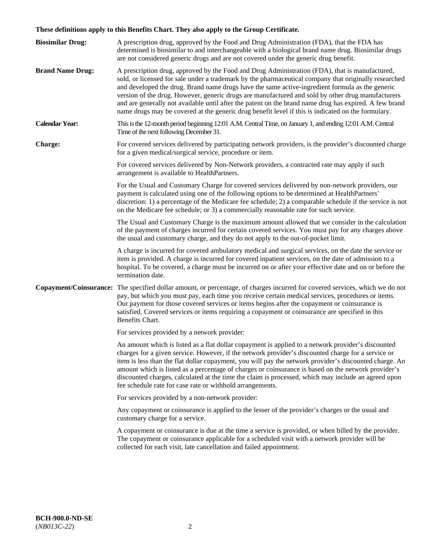# **These definitions apply to this Benefits Chart. They also apply to the Group Certificate.**

| <b>Biosimilar Drug:</b> | A prescription drug, approved by the Food and Drug Administration (FDA), that the FDA has<br>determined is biosimilar to and interchangeable with a biological brand name drug. Biosimilar drugs<br>are not considered generic drugs and are not covered under the generic drug benefit.                                                                                                                                                                                                                                                                                                                                        |
|-------------------------|---------------------------------------------------------------------------------------------------------------------------------------------------------------------------------------------------------------------------------------------------------------------------------------------------------------------------------------------------------------------------------------------------------------------------------------------------------------------------------------------------------------------------------------------------------------------------------------------------------------------------------|
| <b>Brand Name Drug:</b> | A prescription drug, approved by the Food and Drug Administration (FDA), that is manufactured,<br>sold, or licensed for sale under a trademark by the pharmaceutical company that originally researched<br>and developed the drug. Brand name drugs have the same active-ingredient formula as the generic<br>version of the drug. However, generic drugs are manufactured and sold by other drug manufacturers<br>and are generally not available until after the patent on the brand name drug has expired. A few brand<br>name drugs may be covered at the generic drug benefit level if this is indicated on the formulary. |
| <b>Calendar Year:</b>   | This is the 12-month period beginning 12:01 A.M. Central Time, on January 1, and ending 12:01 A.M. Central<br>Time of the next following December 31.                                                                                                                                                                                                                                                                                                                                                                                                                                                                           |
| <b>Charge:</b>          | For covered services delivered by participating network providers, is the provider's discounted charge<br>for a given medical/surgical service, procedure or item.                                                                                                                                                                                                                                                                                                                                                                                                                                                              |
|                         | For covered services delivered by Non-Network providers, a contracted rate may apply if such<br>arrangement is available to HealthPartners.                                                                                                                                                                                                                                                                                                                                                                                                                                                                                     |
|                         | For the Usual and Customary Charge for covered services delivered by non-network providers, our<br>payment is calculated using one of the following options to be determined at HealthPartners'<br>discretion: 1) a percentage of the Medicare fee schedule; 2) a comparable schedule if the service is not<br>on the Medicare fee schedule; or 3) a commercially reasonable rate for such service.                                                                                                                                                                                                                             |
|                         | The Usual and Customary Charge is the maximum amount allowed that we consider in the calculation<br>of the payment of charges incurred for certain covered services. You must pay for any charges above<br>the usual and customary charge, and they do not apply to the out-of-pocket limit.                                                                                                                                                                                                                                                                                                                                    |
|                         | A charge is incurred for covered ambulatory medical and surgical services, on the date the service or<br>item is provided. A charge is incurred for covered inpatient services, on the date of admission to a<br>hospital. To be covered, a charge must be incurred on or after your effective date and on or before the<br>termination date.                                                                                                                                                                                                                                                                                   |
|                         | Copayment/Coinsurance: The specified dollar amount, or percentage, of charges incurred for covered services, which we do not<br>pay, but which you must pay, each time you receive certain medical services, procedures or items.<br>Our payment for those covered services or items begins after the copayment or coinsurance is<br>satisfied. Covered services or items requiring a copayment or coinsurance are specified in this<br>Benefits Chart.                                                                                                                                                                         |
|                         | For services provided by a network provider:                                                                                                                                                                                                                                                                                                                                                                                                                                                                                                                                                                                    |
|                         | An amount which is listed as a flat dollar copayment is applied to a network provider's discounted<br>charges for a given service. However, if the network provider's discounted charge for a service or<br>item is less than the flat dollar copayment, you will pay the network provider's discounted charge. An<br>amount which is listed as a percentage of charges or coinsurance is based on the network provider's<br>discounted charges, calculated at the time the claim is processed, which may include an agreed upon<br>fee schedule rate for case rate or withhold arrangements.                                   |
|                         | For services provided by a non-network provider:                                                                                                                                                                                                                                                                                                                                                                                                                                                                                                                                                                                |
|                         | Any copayment or coinsurance is applied to the lesser of the provider's charges or the usual and<br>customary charge for a service.                                                                                                                                                                                                                                                                                                                                                                                                                                                                                             |
|                         | A copayment or coinsurance is due at the time a service is provided, or when billed by the provider.<br>The copayment or coinsurance applicable for a scheduled visit with a network provider will be<br>collected for each visit, late cancellation and failed appointment.                                                                                                                                                                                                                                                                                                                                                    |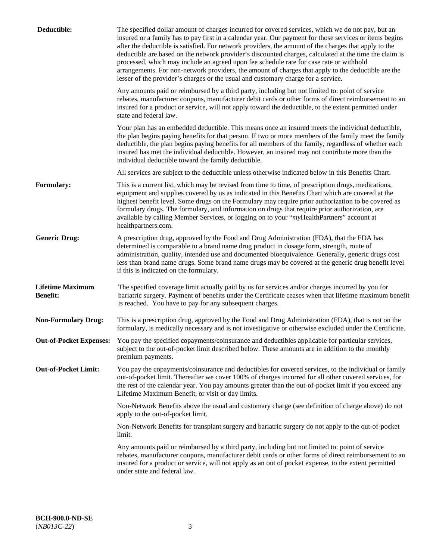| Deductible:                                | The specified dollar amount of charges incurred for covered services, which we do not pay, but an<br>insured or a family has to pay first in a calendar year. Our payment for those services or items begins<br>after the deductible is satisfied. For network providers, the amount of the charges that apply to the<br>deductible are based on the network provider's discounted charges, calculated at the time the claim is<br>processed, which may include an agreed upon fee schedule rate for case rate or withhold<br>arrangements. For non-network providers, the amount of charges that apply to the deductible are the<br>lesser of the provider's charges or the usual and customary charge for a service. |
|--------------------------------------------|------------------------------------------------------------------------------------------------------------------------------------------------------------------------------------------------------------------------------------------------------------------------------------------------------------------------------------------------------------------------------------------------------------------------------------------------------------------------------------------------------------------------------------------------------------------------------------------------------------------------------------------------------------------------------------------------------------------------|
|                                            | Any amounts paid or reimbursed by a third party, including but not limited to: point of service<br>rebates, manufacturer coupons, manufacturer debit cards or other forms of direct reimbursement to an<br>insured for a product or service, will not apply toward the deductible, to the extent permitted under<br>state and federal law.                                                                                                                                                                                                                                                                                                                                                                             |
|                                            | Your plan has an embedded deductible. This means once an insured meets the individual deductible,<br>the plan begins paying benefits for that person. If two or more members of the family meet the family<br>deductible, the plan begins paying benefits for all members of the family, regardless of whether each<br>insured has met the individual deductible. However, an insured may not contribute more than the<br>individual deductible toward the family deductible.                                                                                                                                                                                                                                          |
|                                            | All services are subject to the deductible unless otherwise indicated below in this Benefits Chart.                                                                                                                                                                                                                                                                                                                                                                                                                                                                                                                                                                                                                    |
| <b>Formulary:</b>                          | This is a current list, which may be revised from time to time, of prescription drugs, medications,<br>equipment and supplies covered by us as indicated in this Benefits Chart which are covered at the<br>highest benefit level. Some drugs on the Formulary may require prior authorization to be covered as<br>formulary drugs. The formulary, and information on drugs that require prior authorization, are<br>available by calling Member Services, or logging on to your "myHealthPartners" account at<br>healthpartners.com.                                                                                                                                                                                  |
| <b>Generic Drug:</b>                       | A prescription drug, approved by the Food and Drug Administration (FDA), that the FDA has<br>determined is comparable to a brand name drug product in dosage form, strength, route of<br>administration, quality, intended use and documented bioequivalence. Generally, generic drugs cost<br>less than brand name drugs. Some brand name drugs may be covered at the generic drug benefit level<br>if this is indicated on the formulary.                                                                                                                                                                                                                                                                            |
| <b>Lifetime Maximum</b><br><b>Benefit:</b> | The specified coverage limit actually paid by us for services and/or charges incurred by you for<br>bariatric surgery. Payment of benefits under the Certificate ceases when that lifetime maximum benefit<br>is reached. You have to pay for any subsequent charges.                                                                                                                                                                                                                                                                                                                                                                                                                                                  |
| <b>Non-Formulary Drug:</b>                 | This is a prescription drug, approved by the Food and Drug Administration (FDA), that is not on the<br>formulary, is medically necessary and is not investigative or otherwise excluded under the Certificate.                                                                                                                                                                                                                                                                                                                                                                                                                                                                                                         |
|                                            | Out-of-Pocket Expenses: You pay the specified copayments/coinsurance and deductibles applicable for particular services,<br>subject to the out-of-pocket limit described below. These amounts are in addition to the monthly<br>premium payments.                                                                                                                                                                                                                                                                                                                                                                                                                                                                      |
| <b>Out-of-Pocket Limit:</b>                | You pay the copayments/coinsurance and deductibles for covered services, to the individual or family<br>out-of-pocket limit. Thereafter we cover 100% of charges incurred for all other covered services, for<br>the rest of the calendar year. You pay amounts greater than the out-of-pocket limit if you exceed any<br>Lifetime Maximum Benefit, or visit or day limits.                                                                                                                                                                                                                                                                                                                                            |
|                                            | Non-Network Benefits above the usual and customary charge (see definition of charge above) do not<br>apply to the out-of-pocket limit.                                                                                                                                                                                                                                                                                                                                                                                                                                                                                                                                                                                 |
|                                            | Non-Network Benefits for transplant surgery and bariatric surgery do not apply to the out-of-pocket<br>limit.                                                                                                                                                                                                                                                                                                                                                                                                                                                                                                                                                                                                          |
|                                            | Any amounts paid or reimbursed by a third party, including but not limited to: point of service<br>rebates, manufacturer coupons, manufacturer debit cards or other forms of direct reimbursement to an<br>insured for a product or service, will not apply as an out of pocket expense, to the extent permitted<br>under state and federal law.                                                                                                                                                                                                                                                                                                                                                                       |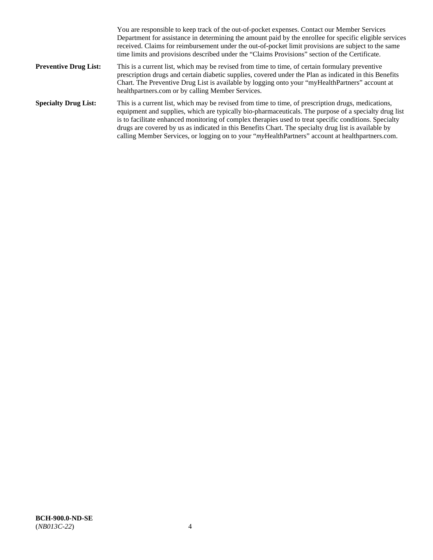|                              | You are responsible to keep track of the out-of-pocket expenses. Contact our Member Services<br>Department for assistance in determining the amount paid by the enrollee for specific eligible services<br>received. Claims for reimbursement under the out-of-pocket limit provisions are subject to the same<br>time limits and provisions described under the "Claims Provisions" section of the Certificate.                                                                                                                   |
|------------------------------|------------------------------------------------------------------------------------------------------------------------------------------------------------------------------------------------------------------------------------------------------------------------------------------------------------------------------------------------------------------------------------------------------------------------------------------------------------------------------------------------------------------------------------|
| <b>Preventive Drug List:</b> | This is a current list, which may be revised from time to time, of certain formulary preventive<br>prescription drugs and certain diabetic supplies, covered under the Plan as indicated in this Benefits<br>Chart. The Preventive Drug List is available by logging onto your "myHealthPartners" account at<br>healthpartners.com or by calling Member Services.                                                                                                                                                                  |
| <b>Specialty Drug List:</b>  | This is a current list, which may be revised from time to time, of prescription drugs, medications,<br>equipment and supplies, which are typically bio-pharmaceuticals. The purpose of a specialty drug list<br>is to facilitate enhanced monitoring of complex therapies used to treat specific conditions. Specialty<br>drugs are covered by us as indicated in this Benefits Chart. The specialty drug list is available by<br>calling Member Services, or logging on to your "myHealthPartners" account at healthpartners.com. |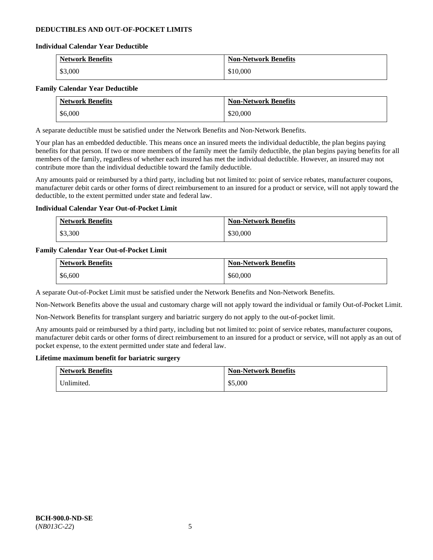### **DEDUCTIBLES AND OUT-OF-POCKET LIMITS**

### **Individual Calendar Year Deductible**

| <b>Network Benefits</b> | <b>Non-Network Benefits</b> |
|-------------------------|-----------------------------|
| \$3,000                 | \$10,000                    |

### **Family Calendar Year Deductible**

| <b>Network Benefits</b> | <b>Non-Network Benefits</b> |
|-------------------------|-----------------------------|
| \$6,000                 | \$20,000                    |

A separate deductible must be satisfied under the Network Benefits and Non-Network Benefits.

Your plan has an embedded deductible. This means once an insured meets the individual deductible, the plan begins paying benefits for that person. If two or more members of the family meet the family deductible, the plan begins paying benefits for all members of the family, regardless of whether each insured has met the individual deductible. However, an insured may not contribute more than the individual deductible toward the family deductible.

Any amounts paid or reimbursed by a third party, including but not limited to: point of service rebates, manufacturer coupons, manufacturer debit cards or other forms of direct reimbursement to an insured for a product or service, will not apply toward the deductible, to the extent permitted under state and federal law.

### **Individual Calendar Year Out-of-Pocket Limit**

| <b>Network Benefits</b> | <b>Non-Network Benefits</b> |
|-------------------------|-----------------------------|
| \$3,300                 | \$30,000                    |

### **Family Calendar Year Out-of-Pocket Limit**

| <b>Network Benefits</b> | <b>Non-Network Benefits</b> |
|-------------------------|-----------------------------|
| \$6,600                 | \$60,000                    |

A separate Out-of-Pocket Limit must be satisfied under the Network Benefits and Non-Network Benefits.

Non-Network Benefits above the usual and customary charge will not apply toward the individual or family Out-of-Pocket Limit.

Non-Network Benefits for transplant surgery and bariatric surgery do not apply to the out-of-pocket limit.

Any amounts paid or reimbursed by a third party, including but not limited to: point of service rebates, manufacturer coupons, manufacturer debit cards or other forms of direct reimbursement to an insured for a product or service, will not apply as an out of pocket expense, to the extent permitted under state and federal law.

#### **Lifetime maximum benefit for bariatric surgery**

| <b>Network Benefits</b> | <b>Non-Network Benefits</b> |
|-------------------------|-----------------------------|
| Inlimited.              | \$5,000                     |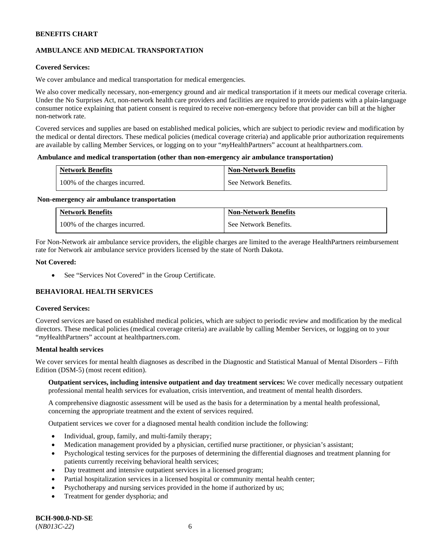# **AMBULANCE AND MEDICAL TRANSPORTATION**

### **Covered Services:**

We cover ambulance and medical transportation for medical emergencies.

We also cover medically necessary, non-emergency ground and air medical transportation if it meets our medical coverage criteria. Under the No Surprises Act, non-network health care providers and facilities are required to provide patients with a plain-language consumer notice explaining that patient consent is required to receive non-emergency before that provider can bill at the higher non-network rate.

Covered services and supplies are based on established medical policies, which are subject to periodic review and modification by the medical or dental directors. These medical policies (medical coverage criteria) and applicable prior authorization requirements are available by calling Member Services, or logging on to your "*my*HealthPartners" account a[t healthpartners.com.](http://www.healthpartners.com/)

#### **Ambulance and medical transportation (other than non-emergency air ambulance transportation)**

| <b>Network Benefits</b>       | <b>Non-Network Benefits</b> |
|-------------------------------|-----------------------------|
| 100% of the charges incurred. | See Network Benefits.       |

#### **Non-emergency air ambulance transportation**

| <b>Network Benefits</b>       | <b>Non-Network Benefits</b> |
|-------------------------------|-----------------------------|
| 100% of the charges incurred. | See Network Benefits.       |

For Non-Network air ambulance service providers, the eligible charges are limited to the average HealthPartners reimbursement rate for Network air ambulance service providers licensed by the state of North Dakota.

### **Not Covered:**

• See "Services Not Covered" in the Group Certificate.

# **BEHAVIORAL HEALTH SERVICES**

#### **Covered Services:**

Covered services are based on established medical policies, which are subject to periodic review and modification by the medical directors. These medical policies (medical coverage criteria) are available by calling Member Services, or logging on to your "*my*HealthPartners" account at [healthpartners.com.](http://healthpartners.com/)

### **Mental health services**

We cover services for mental health diagnoses as described in the Diagnostic and Statistical Manual of Mental Disorders – Fifth Edition (DSM-5) (most recent edition).

**Outpatient services, including intensive outpatient and day treatment services:** We cover medically necessary outpatient professional mental health services for evaluation, crisis intervention, and treatment of mental health disorders.

A comprehensive diagnostic assessment will be used as the basis for a determination by a mental health professional, concerning the appropriate treatment and the extent of services required.

Outpatient services we cover for a diagnosed mental health condition include the following:

- Individual, group, family, and multi-family therapy;
- Medication management provided by a physician, certified nurse practitioner, or physician's assistant;
- Psychological testing services for the purposes of determining the differential diagnoses and treatment planning for patients currently receiving behavioral health services;
- Day treatment and intensive outpatient services in a licensed program;
- Partial hospitalization services in a licensed hospital or community mental health center;
- Psychotherapy and nursing services provided in the home if authorized by us;
- Treatment for gender dysphoria; and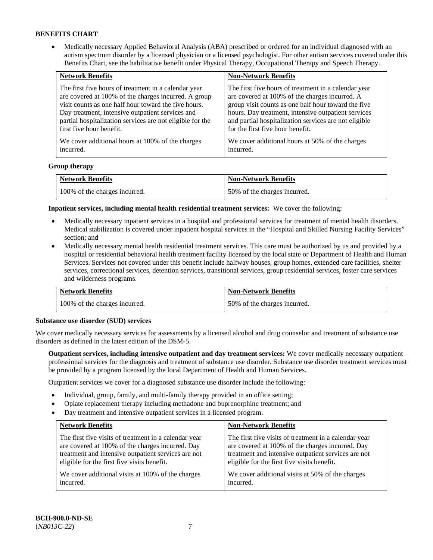• Medically necessary Applied Behavioral Analysis (ABA) prescribed or ordered for an individual diagnosed with an autism spectrum disorder by a licensed physician or a licensed psychologist. For other autism services covered under this Benefits Chart, see the habilitative benefit under Physical Therapy, Occupational Therapy and Speech Therapy.

| <b>Network Benefits</b>                                   | <b>Non-Network Benefits</b>                           |
|-----------------------------------------------------------|-------------------------------------------------------|
| The first five hours of treatment in a calendar year      | The first five hours of treatment in a calendar year  |
| are covered at 100% of the charges incurred. A group      | are covered at 100% of the charges incurred. A        |
| visit counts as one half hour toward the five hours.      | group visit counts as one half hour toward the five   |
| Day treatment, intensive outpatient services and          | hours. Day treatment, intensive outpatient services   |
| partial hospitalization services are not eligible for the | and partial hospitalization services are not eligible |
| first five hour benefit.                                  | for the first five hour benefit.                      |
| We cover additional hours at 100% of the charges          | We cover additional hours at 50% of the charges       |
| incurred.                                                 | incurred.                                             |

### **Group therapy**

| <b>Network Benefits</b>       | <b>Non-Network Benefits</b>  |
|-------------------------------|------------------------------|
| 100% of the charges incurred. | 50% of the charges incurred. |

**Inpatient services, including mental health residential treatment services:** We cover the following:

- Medically necessary inpatient services in a hospital and professional services for treatment of mental health disorders. Medical stabilization is covered under inpatient hospital services in the "Hospital and Skilled Nursing Facility Services" section; and
- Medically necessary mental health residential treatment services. This care must be authorized by us and provided by a hospital or residential behavioral health treatment facility licensed by the local state or Department of Health and Human Services. Services not covered under this benefit include halfway houses, group homes, extended care facilities, shelter services, correctional services, detention services, transitional services, group residential services, foster care services and wilderness programs.

| <b>Network Benefits</b>       | <b>Non-Network Benefits</b>  |
|-------------------------------|------------------------------|
| 100% of the charges incurred. | 50% of the charges incurred. |

#### **Substance use disorder (SUD) services**

We cover medically necessary services for assessments by a licensed alcohol and drug counselor and treatment of substance use disorders as defined in the latest edition of the DSM-5.

**Outpatient services, including intensive outpatient and day treatment services:** We cover medically necessary outpatient professional services for the diagnosis and treatment of substance use disorder. Substance use disorder treatment services must be provided by a program licensed by the local Department of Health and Human Services.

Outpatient services we cover for a diagnosed substance use disorder include the following:

- Individual, group, family, and multi-family therapy provided in an office setting;
- Opiate replacement therapy including methadone and buprenorphine treatment; and
- Day treatment and intensive outpatient services in a licensed program.

| <b>Network Benefits</b>                               | <b>Non-Network Benefits</b>                           |
|-------------------------------------------------------|-------------------------------------------------------|
| The first five visits of treatment in a calendar year | The first five visits of treatment in a calendar year |
| are covered at 100% of the charges incurred. Day      | are covered at 100% of the charges incurred. Day      |
| treatment and intensive outpatient services are not   | treatment and intensive outpatient services are not   |
| eligible for the first five visits benefit.           | eligible for the first five visits benefit.           |
| We cover additional visits at 100% of the charges     | We cover additional visits at 50% of the charges      |
| incurred.                                             | incurred.                                             |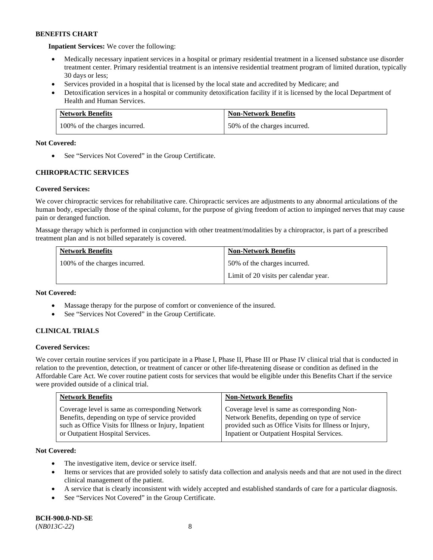**Inpatient Services:** We cover the following:

- Medically necessary inpatient services in a hospital or primary residential treatment in a licensed substance use disorder treatment center. Primary residential treatment is an intensive residential treatment program of limited duration, typically 30 days or less;
- Services provided in a hospital that is licensed by the local state and accredited by Medicare; and
- Detoxification services in a hospital or community detoxification facility if it is licensed by the local Department of Health and Human Services.

| <b>Network Benefits</b>       | <b>Non-Network Benefits</b>  |
|-------------------------------|------------------------------|
| 100% of the charges incurred. | 50% of the charges incurred. |

### **Not Covered:**

• See "Services Not Covered" in the Group Certificate.

# **CHIROPRACTIC SERVICES**

# **Covered Services:**

We cover chiropractic services for rehabilitative care. Chiropractic services are adjustments to any abnormal articulations of the human body, especially those of the spinal column, for the purpose of giving freedom of action to impinged nerves that may cause pain or deranged function.

Massage therapy which is performed in conjunction with other treatment/modalities by a chiropractor, is part of a prescribed treatment plan and is not billed separately is covered.

| <b>Network Benefits</b>       | <b>Non-Network Benefits</b>           |
|-------------------------------|---------------------------------------|
| 100% of the charges incurred. | 50% of the charges incurred.          |
|                               | Limit of 20 visits per calendar year. |

### **Not Covered:**

- Massage therapy for the purpose of comfort or convenience of the insured.
- See "Services Not Covered" in the Group Certificate.

# **CLINICAL TRIALS**

### **Covered Services:**

We cover certain routine services if you participate in a Phase I, Phase II, Phase III or Phase IV clinical trial that is conducted in relation to the prevention, detection, or treatment of cancer or other life-threatening disease or condition as defined in the Affordable Care Act. We cover routine patient costs for services that would be eligible under this Benefits Chart if the service were provided outside of a clinical trial.

| <b>Network Benefits</b>                                                                                                                                                                          | <b>Non-Network Benefits</b>                                                                                                                                                                           |
|--------------------------------------------------------------------------------------------------------------------------------------------------------------------------------------------------|-------------------------------------------------------------------------------------------------------------------------------------------------------------------------------------------------------|
| Coverage level is same as corresponding Network<br>Benefits, depending on type of service provided<br>such as Office Visits for Illness or Injury, Inpatient<br>or Outpatient Hospital Services. | Coverage level is same as corresponding Non-<br>Network Benefits, depending on type of service<br>provided such as Office Visits for Illness or Injury,<br>Inpatient or Outpatient Hospital Services. |

### **Not Covered:**

- The investigative item, device or service itself.
- Items or services that are provided solely to satisfy data collection and analysis needs and that are not used in the direct clinical management of the patient.
- A service that is clearly inconsistent with widely accepted and established standards of care for a particular diagnosis.
- See "Services Not Covered" in the Group Certificate.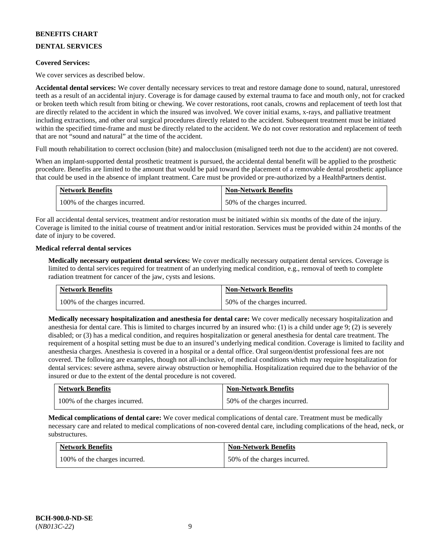# **DENTAL SERVICES**

### **Covered Services:**

We cover services as described below.

**Accidental dental services:** We cover dentally necessary services to treat and restore damage done to sound, natural, unrestored teeth as a result of an accidental injury. Coverage is for damage caused by external trauma to face and mouth only, not for cracked or broken teeth which result from biting or chewing. We cover restorations, root canals, crowns and replacement of teeth lost that are directly related to the accident in which the insured was involved. We cover initial exams, x-rays, and palliative treatment including extractions, and other oral surgical procedures directly related to the accident. Subsequent treatment must be initiated within the specified time-frame and must be directly related to the accident. We do not cover restoration and replacement of teeth that are not "sound and natural" at the time of the accident.

Full mouth rehabilitation to correct occlusion (bite) and malocclusion (misaligned teeth not due to the accident) are not covered.

When an implant-supported dental prosthetic treatment is pursued, the accidental dental benefit will be applied to the prosthetic procedure. Benefits are limited to the amount that would be paid toward the placement of a removable dental prosthetic appliance that could be used in the absence of implant treatment. Care must be provided or pre-authorized by a HealthPartners dentist.

| <b>Network Benefits</b>       | <b>Non-Network Benefits</b>  |
|-------------------------------|------------------------------|
| 100% of the charges incurred. | 50% of the charges incurred. |

For all accidental dental services, treatment and/or restoration must be initiated within six months of the date of the injury. Coverage is limited to the initial course of treatment and/or initial restoration. Services must be provided within 24 months of the date of injury to be covered.

### **Medical referral dental services**

**Medically necessary outpatient dental services:** We cover medically necessary outpatient dental services. Coverage is limited to dental services required for treatment of an underlying medical condition, e.g., removal of teeth to complete radiation treatment for cancer of the jaw, cysts and lesions.

| <b>Network Benefits</b>       | <b>Non-Network Benefits</b>  |
|-------------------------------|------------------------------|
| 100% of the charges incurred. | 50% of the charges incurred. |

**Medically necessary hospitalization and anesthesia for dental care:** We cover medically necessary hospitalization and anesthesia for dental care. This is limited to charges incurred by an insured who: (1) is a child under age 9; (2) is severely disabled; or (3) has a medical condition, and requires hospitalization or general anesthesia for dental care treatment. The requirement of a hospital setting must be due to an insured's underlying medical condition. Coverage is limited to facility and anesthesia charges. Anesthesia is covered in a hospital or a dental office. Oral surgeon/dentist professional fees are not covered. The following are examples, though not all-inclusive, of medical conditions which may require hospitalization for dental services: severe asthma, severe airway obstruction or hemophilia. Hospitalization required due to the behavior of the insured or due to the extent of the dental procedure is not covered.

| <b>Network Benefits</b>       | <b>Non-Network Benefits</b>  |
|-------------------------------|------------------------------|
| 100% of the charges incurred. | 50% of the charges incurred. |

**Medical complications of dental care:** We cover medical complications of dental care. Treatment must be medically necessary care and related to medical complications of non-covered dental care, including complications of the head, neck, or substructures.

| <b>Network Benefits</b>       | <b>Non-Network Benefits</b>  |
|-------------------------------|------------------------------|
| 100% of the charges incurred. | 50% of the charges incurred. |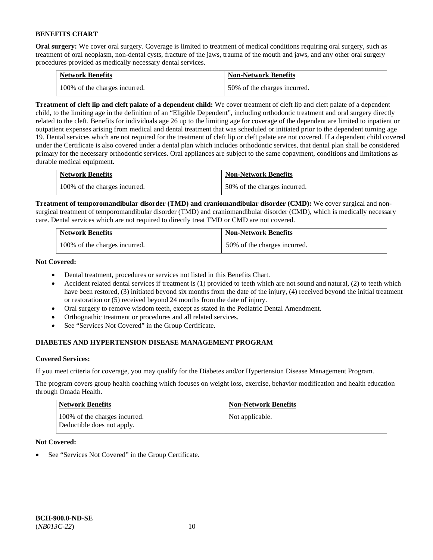**Oral surgery:** We cover oral surgery. Coverage is limited to treatment of medical conditions requiring oral surgery, such as treatment of oral neoplasm, non-dental cysts, fracture of the jaws, trauma of the mouth and jaws, and any other oral surgery procedures provided as medically necessary dental services.

| <b>Network Benefits</b>       | <b>Non-Network Benefits</b>  |
|-------------------------------|------------------------------|
| 100% of the charges incurred. | 50% of the charges incurred. |

**Treatment of cleft lip and cleft palate of a dependent child:** We cover treatment of cleft lip and cleft palate of a dependent child, to the limiting age in the definition of an "Eligible Dependent", including orthodontic treatment and oral surgery directly related to the cleft. Benefits for individuals age 26 up to the limiting age for coverage of the dependent are limited to inpatient or outpatient expenses arising from medical and dental treatment that was scheduled or initiated prior to the dependent turning age 19. Dental services which are not required for the treatment of cleft lip or cleft palate are not covered. If a dependent child covered under the Certificate is also covered under a dental plan which includes orthodontic services, that dental plan shall be considered primary for the necessary orthodontic services. Oral appliances are subject to the same copayment, conditions and limitations as durable medical equipment.

| <b>Network Benefits</b>       | <b>Non-Network Benefits</b>  |
|-------------------------------|------------------------------|
| 100% of the charges incurred. | 50% of the charges incurred. |

**Treatment of temporomandibular disorder (TMD) and craniomandibular disorder (CMD):** We cover surgical and nonsurgical treatment of temporomandibular disorder (TMD) and craniomandibular disorder (CMD), which is medically necessary care. Dental services which are not required to directly treat TMD or CMD are not covered.

| <b>Network Benefits</b>       | <b>Non-Network Benefits</b>  |
|-------------------------------|------------------------------|
| 100% of the charges incurred. | 50% of the charges incurred. |

**Not Covered:** 

- Dental treatment, procedures or services not listed in this Benefits Chart.
- Accident related dental services if treatment is (1) provided to teeth which are not sound and natural, (2) to teeth which have been restored, (3) initiated beyond six months from the date of the injury, (4) received beyond the initial treatment or restoration or (5) received beyond 24 months from the date of injury.
- Oral surgery to remove wisdom teeth, except as stated in the Pediatric Dental Amendment.
- Orthognathic treatment or procedures and all related services.
- See "Services Not Covered" in the Group Certificate.

# **DIABETES AND HYPERTENSION DISEASE MANAGEMENT PROGRAM**

### **Covered Services:**

If you meet criteria for coverage, you may qualify for the Diabetes and/or Hypertension Disease Management Program.

The program covers group health coaching which focuses on weight loss, exercise, behavior modification and health education through Omada Health.

| <b>Network Benefits</b>                                     | <b>Non-Network Benefits</b> |
|-------------------------------------------------------------|-----------------------------|
| 100% of the charges incurred.<br>Deductible does not apply. | Not applicable.             |

### **Not Covered:**

See "Services Not Covered" in the Group Certificate.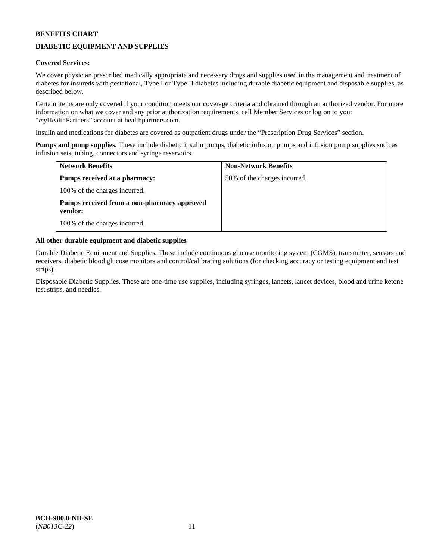# **DIABETIC EQUIPMENT AND SUPPLIES**

### **Covered Services:**

We cover physician prescribed medically appropriate and necessary drugs and supplies used in the management and treatment of diabetes for insureds with gestational, Type I or Type II diabetes including durable diabetic equipment and disposable supplies, as described below.

Certain items are only covered if your condition meets our coverage criteria and obtained through an authorized vendor. For more information on what we cover and any prior authorization requirements, call Member Services or log on to your "*my*HealthPartners" account at [healthpartners.com.](http://www.healthpartners.com/)

Insulin and medications for diabetes are covered as outpatient drugs under the "Prescription Drug Services" section.

**Pumps and pump supplies.** These include diabetic insulin pumps, diabetic infusion pumps and infusion pump supplies such as infusion sets, tubing, connectors and syringe reservoirs.

| <b>Network Benefits</b>                                | <b>Non-Network Benefits</b>  |
|--------------------------------------------------------|------------------------------|
| <b>Pumps received at a pharmacy:</b>                   | 50% of the charges incurred. |
| 100% of the charges incurred.                          |                              |
| Pumps received from a non-pharmacy approved<br>vendor: |                              |
| 100% of the charges incurred.                          |                              |

### **All other durable equipment and diabetic supplies**

Durable Diabetic Equipment and Supplies. These include continuous glucose monitoring system (CGMS), transmitter, sensors and receivers, diabetic blood glucose monitors and control/calibrating solutions (for checking accuracy or testing equipment and test strips).

Disposable Diabetic Supplies. These are one-time use supplies, including syringes, lancets, lancet devices, blood and urine ketone test strips, and needles.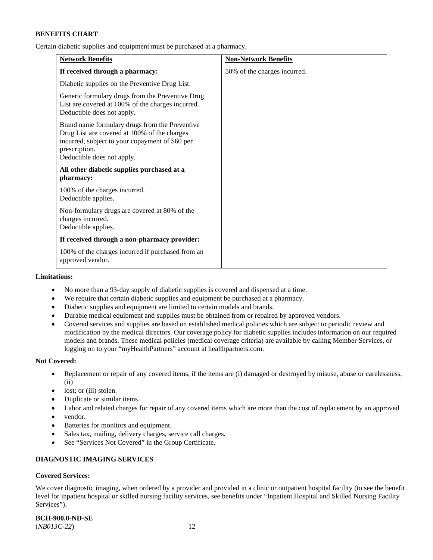Certain diabetic supplies and equipment must be purchased at a pharmacy.

| <b>Network Benefits</b>                                                                                                                                                                          | <b>Non-Network Benefits</b>  |
|--------------------------------------------------------------------------------------------------------------------------------------------------------------------------------------------------|------------------------------|
| If received through a pharmacy:                                                                                                                                                                  | 50% of the charges incurred. |
| Diabetic supplies on the Preventive Drug List:                                                                                                                                                   |                              |
| Generic formulary drugs from the Preventive Drug<br>List are covered at 100% of the charges incurred.<br>Deductible does not apply.                                                              |                              |
| Brand name formulary drugs from the Preventive<br>Drug List are covered at 100% of the charges<br>incurred, subject to your copayment of \$60 per<br>prescription.<br>Deductible does not apply. |                              |
| All other diabetic supplies purchased at a<br>pharmacy:                                                                                                                                          |                              |
| 100% of the charges incurred.<br>Deductible applies.                                                                                                                                             |                              |
| Non-formulary drugs are covered at 80% of the<br>charges incurred.<br>Deductible applies.                                                                                                        |                              |
| If received through a non-pharmacy provider:                                                                                                                                                     |                              |
| 100% of the charges incurred if purchased from an<br>approved vendor.                                                                                                                            |                              |

#### **Limitations:**

- No more than a 93-day supply of diabetic supplies is covered and dispensed at a time.
- We require that certain diabetic supplies and equipment be purchased at a pharmacy.
- Diabetic supplies and equipment are limited to certain models and brands.
- Durable medical equipment and supplies must be obtained from or repaired by approved vendors.
- Covered services and supplies are based on established medical policies which are subject to periodic review and modification by the medical directors. Our coverage policy for diabetic supplies includes information on our required models and brands. These medical policies (medical coverage criteria) are available by calling Member Services, or logging on to your "myHealthPartners" account a[t healthpartners.com.](http://www.healthpartners.com/)

#### **Not Covered:**

- Replacement or repair of any covered items, if the items are (i) damaged or destroyed by misuse, abuse or carelessness, (ii)
- lost; or (iii) stolen.
- Duplicate or similar items.
- Labor and related charges for repair of any covered items which are more than the cost of replacement by an approved
- vendor.
- Batteries for monitors and equipment.
- Sales tax, mailing, delivery charges, service call charges.
- See "Services Not Covered" in the Group Certificate.

# **DIAGNOSTIC IMAGING SERVICES**

### **Covered Services:**

We cover diagnostic imaging, when ordered by a provider and provided in a clinic or outpatient hospital facility (to see the benefit level for inpatient hospital or skilled nursing facility services, see benefits under "Inpatient Hospital and Skilled Nursing Facility Services").

**BCH-900.0-ND-SE** (*NB013C-22*) 12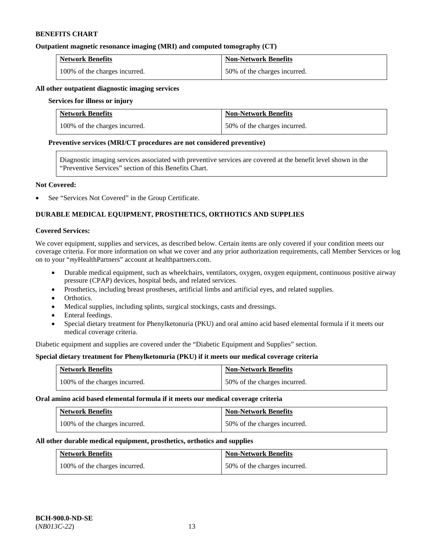#### **Outpatient magnetic resonance imaging (MRI) and computed tomography (CT)**

| <b>Network Benefits</b>       | <b>Non-Network Benefits</b>  |
|-------------------------------|------------------------------|
| 100% of the charges incurred. | 50% of the charges incurred. |

### **All other outpatient diagnostic imaging services**

#### **Services for illness or injury**

| <b>Network Benefits</b>       | <b>Non-Network Benefits</b>  |
|-------------------------------|------------------------------|
| 100% of the charges incurred. | 50% of the charges incurred. |

#### **Preventive services (MRI/CT procedures are not considered preventive)**

Diagnostic imaging services associated with preventive services are covered at the benefit level shown in the "Preventive Services" section of this Benefits Chart.

### **Not Covered:**

See "Services Not Covered" in the Group Certificate.

# **DURABLE MEDICAL EQUIPMENT, PROSTHETICS, ORTHOTICS AND SUPPLIES**

#### **Covered Services:**

We cover equipment, supplies and services, as described below. Certain items are only covered if your condition meets our coverage criteria. For more information on what we cover and any prior authorization requirements, call Member Services or log on to your "*my*HealthPartners" account at [healthpartners.com.](http://www.healthpartners.com/)

- Durable medical equipment, such as wheelchairs, ventilators, oxygen, oxygen equipment, continuous positive airway pressure (CPAP) devices, hospital beds, and related services.
- Prosthetics, including breast prostheses, artificial limbs and artificial eyes, and related supplies.
- Orthotics.
- Medical supplies, including splints, surgical stockings, casts and dressings.
- Enteral feedings.
- Special dietary treatment for Phenylketonuria (PKU) and oral amino acid based elemental formula if it meets our medical coverage criteria.

Diabetic equipment and supplies are covered under the "Diabetic Equipment and Supplies" section.

### **Special dietary treatment for Phenylketonuria (PKU) if it meets our medical coverage criteria**

| <b>Network Benefits</b>       | <b>Non-Network Benefits</b>  |
|-------------------------------|------------------------------|
| 100% of the charges incurred. | 50% of the charges incurred. |

#### **Oral amino acid based elemental formula if it meets our medical coverage criteria**

| <b>Network Benefits</b>       | Non-Network Benefits         |
|-------------------------------|------------------------------|
| 100% of the charges incurred. | 50% of the charges incurred. |

#### **All other durable medical equipment, prosthetics, orthotics and supplies**

| <b>Network Benefits</b>       | <b>Non-Network Benefits</b>  |
|-------------------------------|------------------------------|
| 100% of the charges incurred. | 50% of the charges incurred. |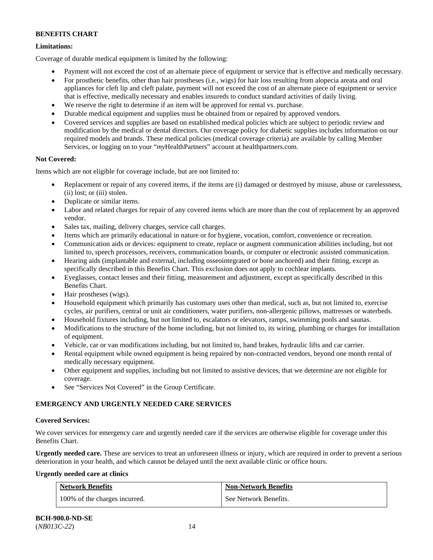# **Limitations:**

Coverage of durable medical equipment is limited by the following:

- Payment will not exceed the cost of an alternate piece of equipment or service that is effective and medically necessary.
- For prosthetic benefits, other than hair prostheses (i.e., wigs) for hair loss resulting from alopecia areata and oral appliances for cleft lip and cleft palate, payment will not exceed the cost of an alternate piece of equipment or service that is effective, medically necessary and enables insureds to conduct standard activities of daily living.
- We reserve the right to determine if an item will be approved for rental vs. purchase.
- Durable medical equipment and supplies must be obtained from or repaired by approved vendors.
- Covered services and supplies are based on established medical policies which are subject to periodic review and modification by the medical or dental directors. Our coverage policy for diabetic supplies includes information on our required models and brands. These medical policies (medical coverage criteria) are available by calling Member Services, or logging on to your "*my*HealthPartners" account at [healthpartners.com.](http://www.healthpartners.com/)

# **Not Covered:**

Items which are not eligible for coverage include, but are not limited to:

- Replacement or repair of any covered items, if the items are (i) damaged or destroyed by misuse, abuse or carelessness, (ii) lost; or (iii) stolen.
- Duplicate or similar items.
- Labor and related charges for repair of any covered items which are more than the cost of replacement by an approved vendor.
- Sales tax, mailing, delivery charges, service call charges.
- Items which are primarily educational in nature or for hygiene, vocation, comfort, convenience or recreation.
- Communication aids or devices: equipment to create, replace or augment communication abilities including, but not limited to, speech processors, receivers, communication boards, or computer or electronic assisted communication.
- Hearing aids (implantable and external, including osseointegrated or bone anchored) and their fitting, except as specifically described in this Benefits Chart. This exclusion does not apply to cochlear implants.
- Eyeglasses, contact lenses and their fitting, measurement and adjustment, except as specifically described in this Benefits Chart.
- Hair prostheses (wigs).
- Household equipment which primarily has customary uses other than medical, such as, but not limited to, exercise cycles, air purifiers, central or unit air conditioners, water purifiers, non-allergenic pillows, mattresses or waterbeds.
- Household fixtures including, but not limited to, escalators or elevators, ramps, swimming pools and saunas.
- Modifications to the structure of the home including, but not limited to, its wiring, plumbing or charges for installation of equipment.
- Vehicle, car or van modifications including, but not limited to, hand brakes, hydraulic lifts and car carrier.
- Rental equipment while owned equipment is being repaired by non-contracted vendors, beyond one month rental of medically necessary equipment.
- Other equipment and supplies, including but not limited to assistive devices, that we determine are not eligible for coverage.
- See "Services Not Covered" in the Group Certificate.

# **EMERGENCY AND URGENTLY NEEDED CARE SERVICES**

### **Covered Services:**

We cover services for emergency care and urgently needed care if the services are otherwise eligible for coverage under this Benefits Chart.

**Urgently needed care.** These are services to treat an unforeseen illness or injury, which are required in order to prevent a serious deterioration in your health, and which cannot be delayed until the next available clinic or office hours.

### **Urgently needed care at clinics**

| <b>Network Benefits</b>       | <b>Non-Network Benefits</b> |
|-------------------------------|-----------------------------|
| 100% of the charges incurred. | See Network Benefits.       |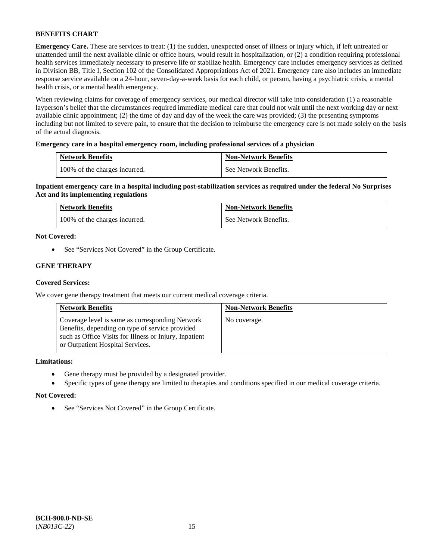**Emergency Care.** These are services to treat: (1) the sudden, unexpected onset of illness or injury which, if left untreated or unattended until the next available clinic or office hours, would result in hospitalization, or (2) a condition requiring professional health services immediately necessary to preserve life or stabilize health. Emergency care includes emergency services as defined in Division BB, Title I, Section 102 of the Consolidated Appropriations Act of 2021. Emergency care also includes an immediate response service available on a 24-hour, seven-day-a-week basis for each child, or person, having a psychiatric crisis, a mental health crisis, or a mental health emergency.

When reviewing claims for coverage of emergency services, our medical director will take into consideration (1) a reasonable layperson's belief that the circumstances required immediate medical care that could not wait until the next working day or next available clinic appointment; (2) the time of day and day of the week the care was provided; (3) the presenting symptoms including but not limited to severe pain, to ensure that the decision to reimburse the emergency care is not made solely on the basis of the actual diagnosis.

### **Emergency care in a hospital emergency room, including professional services of a physician**

| <b>Network Benefits</b>       | <b>Non-Network Benefits</b> |
|-------------------------------|-----------------------------|
| 100% of the charges incurred. | See Network Benefits.       |

**Inpatient emergency care in a hospital including post-stabilization services as required under the federal No Surprises Act and its implementing regulations**

| <b>Network Benefits</b>       | <b>Non-Network Benefits</b> |
|-------------------------------|-----------------------------|
| 100% of the charges incurred. | See Network Benefits.       |

### **Not Covered:**

• See "Services Not Covered" in the Group Certificate.

### **GENE THERAPY**

### **Covered Services:**

We cover gene therapy treatment that meets our current medical coverage criteria.

| <b>Network Benefits</b>                                                                                                                                                                          | <b>Non-Network Benefits</b> |
|--------------------------------------------------------------------------------------------------------------------------------------------------------------------------------------------------|-----------------------------|
| Coverage level is same as corresponding Network<br>Benefits, depending on type of service provided<br>such as Office Visits for Illness or Injury, Inpatient<br>or Outpatient Hospital Services. | No coverage.                |

#### **Limitations:**

- Gene therapy must be provided by a designated provider.
- Specific types of gene therapy are limited to therapies and conditions specified in our medical coverage criteria.

#### **Not Covered:**

• See "Services Not Covered" in the Group Certificate.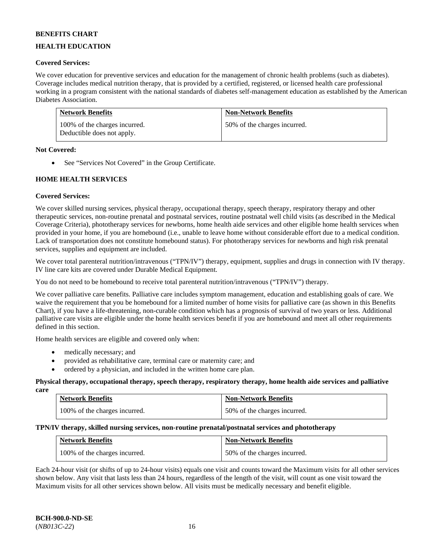## **HEALTH EDUCATION**

### **Covered Services:**

We cover education for preventive services and education for the management of chronic health problems (such as diabetes). Coverage includes medical nutrition therapy, that is provided by a certified, registered, or licensed health care professional working in a program consistent with the national standards of diabetes self-management education as established by the American Diabetes Association.

| <b>Network Benefits</b>                                     | <b>Non-Network Benefits</b>  |
|-------------------------------------------------------------|------------------------------|
| 100% of the charges incurred.<br>Deductible does not apply. | 50% of the charges incurred. |

### **Not Covered:**

• See "Services Not Covered" in the Group Certificate.

### **HOME HEALTH SERVICES**

### **Covered Services:**

We cover skilled nursing services, physical therapy, occupational therapy, speech therapy, respiratory therapy and other therapeutic services, non-routine prenatal and postnatal services, routine postnatal well child visits (as described in the Medical Coverage Criteria), phototherapy services for newborns, home health aide services and other eligible home health services when provided in your home, if you are homebound (i.e., unable to leave home without considerable effort due to a medical condition. Lack of transportation does not constitute homebound status). For phototherapy services for newborns and high risk prenatal services, supplies and equipment are included.

We cover total parenteral nutrition/intravenous ("TPN/IV") therapy, equipment, supplies and drugs in connection with IV therapy. IV line care kits are covered under Durable Medical Equipment.

You do not need to be homebound to receive total parenteral nutrition/intravenous ("TPN/IV") therapy.

We cover palliative care benefits. Palliative care includes symptom management, education and establishing goals of care. We waive the requirement that you be homebound for a limited number of home visits for palliative care (as shown in this Benefits Chart), if you have a life-threatening, non-curable condition which has a prognosis of survival of two years or less. Additional palliative care visits are eligible under the home health services benefit if you are homebound and meet all other requirements defined in this section.

Home health services are eligible and covered only when:

- medically necessary; and
- provided as rehabilitative care, terminal care or maternity care; and
- ordered by a physician, and included in the written home care plan.

#### **Physical therapy, occupational therapy, speech therapy, respiratory therapy, home health aide services and palliative care**

| <b>Network Benefits</b>       | <b>Non-Network Benefits</b>  |
|-------------------------------|------------------------------|
| 100% of the charges incurred. | 50% of the charges incurred. |

### **TPN/IV therapy, skilled nursing services, non-routine prenatal/postnatal services and phototherapy**

| <b>Network Benefits</b>       | <b>Non-Network Benefits</b>  |
|-------------------------------|------------------------------|
| 100% of the charges incurred. | 50% of the charges incurred. |

Each 24-hour visit (or shifts of up to 24-hour visits) equals one visit and counts toward the Maximum visits for all other services shown below. Any visit that lasts less than 24 hours, regardless of the length of the visit, will count as one visit toward the Maximum visits for all other services shown below. All visits must be medically necessary and benefit eligible.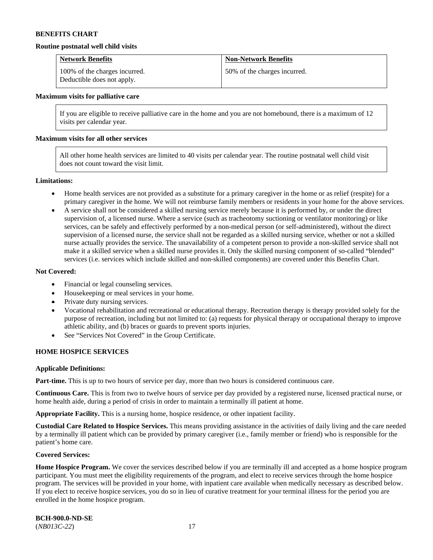#### **Routine postnatal well child visits**

| <b>Network Benefits</b>                                     | <b>Non-Network Benefits</b>  |
|-------------------------------------------------------------|------------------------------|
| 100% of the charges incurred.<br>Deductible does not apply. | 50% of the charges incurred. |

#### **Maximum visits for palliative care**

If you are eligible to receive palliative care in the home and you are not homebound, there is a maximum of 12 visits per calendar year.

#### **Maximum visits for all other services**

All other home health services are limited to 40 visits per calendar year. The routine postnatal well child visit does not count toward the visit limit.

#### **Limitations:**

- Home health services are not provided as a substitute for a primary caregiver in the home or as relief (respite) for a primary caregiver in the home. We will not reimburse family members or residents in your home for the above services.
- A service shall not be considered a skilled nursing service merely because it is performed by, or under the direct supervision of, a licensed nurse. Where a service (such as tracheotomy suctioning or ventilator monitoring) or like services, can be safely and effectively performed by a non-medical person (or self-administered), without the direct supervision of a licensed nurse, the service shall not be regarded as a skilled nursing service, whether or not a skilled nurse actually provides the service. The unavailability of a competent person to provide a non-skilled service shall not make it a skilled service when a skilled nurse provides it. Only the skilled nursing component of so-called "blended" services (i.e. services which include skilled and non-skilled components) are covered under this Benefits Chart.

#### **Not Covered:**

- Financial or legal counseling services.
- Housekeeping or meal services in your home.
- Private duty nursing services.
- Vocational rehabilitation and recreational or educational therapy. Recreation therapy is therapy provided solely for the purpose of recreation, including but not limited to: (a) requests for physical therapy or occupational therapy to improve athletic ability, and (b) braces or guards to prevent sports injuries.
- See "Services Not Covered" in the Group Certificate.

#### **HOME HOSPICE SERVICES**

#### **Applicable Definitions:**

**Part-time.** This is up to two hours of service per day, more than two hours is considered continuous care.

**Continuous Care.** This is from two to twelve hours of service per day provided by a registered nurse, licensed practical nurse, or home health aide, during a period of crisis in order to maintain a terminally ill patient at home.

**Appropriate Facility.** This is a nursing home, hospice residence, or other inpatient facility.

**Custodial Care Related to Hospice Services.** This means providing assistance in the activities of daily living and the care needed by a terminally ill patient which can be provided by primary caregiver (i.e., family member or friend) who is responsible for the patient's home care.

#### **Covered Services:**

Home Hospice Program. We cover the services described below if you are terminally ill and accepted as a home hospice program participant. You must meet the eligibility requirements of the program, and elect to receive services through the home hospice program. The services will be provided in your home, with inpatient care available when medically necessary as described below. If you elect to receive hospice services, you do so in lieu of curative treatment for your terminal illness for the period you are enrolled in the home hospice program.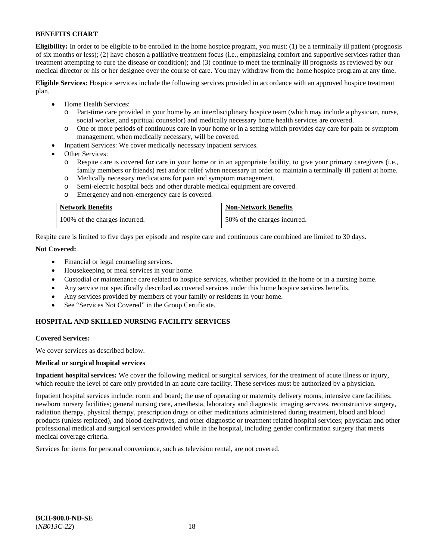**Eligibility:** In order to be eligible to be enrolled in the home hospice program, you must: (1) be a terminally ill patient (prognosis of six months or less); (2) have chosen a palliative treatment focus (i.e., emphasizing comfort and supportive services rather than treatment attempting to cure the disease or condition); and (3) continue to meet the terminally ill prognosis as reviewed by our medical director or his or her designee over the course of care. You may withdraw from the home hospice program at any time.

**Eligible Services:** Hospice services include the following services provided in accordance with an approved hospice treatment plan.

- Home Health Services:
	- o Part-time care provided in your home by an interdisciplinary hospice team (which may include a physician, nurse, social worker, and spiritual counselor) and medically necessary home health services are covered.
	- o One or more periods of continuous care in your home or in a setting which provides day care for pain or symptom management, when medically necessary, will be covered.
- Inpatient Services: We cover medically necessary inpatient services.
- Other Services:
	- Respite care is covered for care in your home or in an appropriate facility, to give your primary caregivers (i.e., family members or friends) rest and/or relief when necessary in order to maintain a terminally ill patient at home.
	- o Medically necessary medications for pain and symptom management.
	- Semi-electric hospital beds and other durable medical equipment are covered.
	- o Emergency and non-emergency care is covered.

| <b>Network Benefits</b>       | <b>Non-Network Benefits</b>  |
|-------------------------------|------------------------------|
| 100% of the charges incurred. | 50% of the charges incurred. |

Respite care is limited to five days per episode and respite care and continuous care combined are limited to 30 days.

### **Not Covered:**

- Financial or legal counseling services.
- Housekeeping or meal services in your home.
- Custodial or maintenance care related to hospice services, whether provided in the home or in a nursing home.
- Any service not specifically described as covered services under this home hospice services benefits.
- Any services provided by members of your family or residents in your home.
- See "Services Not Covered" in the Group Certificate.

### **HOSPITAL AND SKILLED NURSING FACILITY SERVICES**

#### **Covered Services:**

We cover services as described below.

#### **Medical or surgical hospital services**

**Inpatient hospital services:** We cover the following medical or surgical services, for the treatment of acute illness or injury, which require the level of care only provided in an acute care facility. These services must be authorized by a physician.

Inpatient hospital services include: room and board; the use of operating or maternity delivery rooms; intensive care facilities; newborn nursery facilities; general nursing care, anesthesia, laboratory and diagnostic imaging services, reconstructive surgery, radiation therapy, physical therapy, prescription drugs or other medications administered during treatment, blood and blood products (unless replaced), and blood derivatives, and other diagnostic or treatment related hospital services; physician and other professional medical and surgical services provided while in the hospital, including gender confirmation surgery that meets medical coverage criteria.

Services for items for personal convenience, such as television rental, are not covered.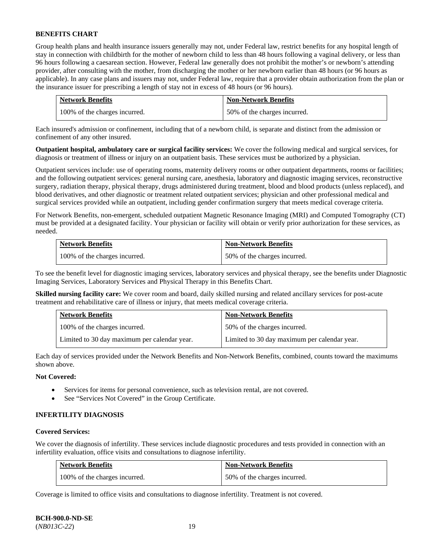Group health plans and health insurance issuers generally may not, under Federal law, restrict benefits for any hospital length of stay in connection with childbirth for the mother of newborn child to less than 48 hours following a vaginal delivery, or less than 96 hours following a caesarean section. However, Federal law generally does not prohibit the mother's or newborn's attending provider, after consulting with the mother, from discharging the mother or her newborn earlier than 48 hours (or 96 hours as applicable). In any case plans and issuers may not, under Federal law, require that a provider obtain authorization from the plan or the insurance issuer for prescribing a length of stay not in excess of 48 hours (or 96 hours).

| <b>Network Benefits</b>       | <b>Non-Network Benefits</b>  |
|-------------------------------|------------------------------|
| 100% of the charges incurred. | 50% of the charges incurred. |

Each insured's admission or confinement, including that of a newborn child, is separate and distinct from the admission or confinement of any other insured.

**Outpatient hospital, ambulatory care or surgical facility services:** We cover the following medical and surgical services, for diagnosis or treatment of illness or injury on an outpatient basis. These services must be authorized by a physician.

Outpatient services include: use of operating rooms, maternity delivery rooms or other outpatient departments, rooms or facilities; and the following outpatient services: general nursing care, anesthesia, laboratory and diagnostic imaging services, reconstructive surgery, radiation therapy, physical therapy, drugs administered during treatment, blood and blood products (unless replaced), and blood derivatives, and other diagnostic or treatment related outpatient services; physician and other professional medical and surgical services provided while an outpatient, including gender confirmation surgery that meets medical coverage criteria.

For Network Benefits, non-emergent, scheduled outpatient Magnetic Resonance Imaging (MRI) and Computed Tomography (CT) must be provided at a designated facility. Your physician or facility will obtain or verify prior authorization for these services, as needed.

| <b>Network Benefits</b>       | <b>Non-Network Benefits</b>  |
|-------------------------------|------------------------------|
| 100% of the charges incurred. | 50% of the charges incurred. |

To see the benefit level for diagnostic imaging services, laboratory services and physical therapy, see the benefits under Diagnostic Imaging Services, Laboratory Services and Physical Therapy in this Benefits Chart.

**Skilled nursing facility care:** We cover room and board, daily skilled nursing and related ancillary services for post-acute treatment and rehabilitative care of illness or injury, that meets medical coverage criteria.

| <b>Network Benefits</b>                      | <b>Non-Network Benefits</b>                  |
|----------------------------------------------|----------------------------------------------|
| 100% of the charges incurred.                | 50% of the charges incurred.                 |
| Limited to 30 day maximum per calendar year. | Limited to 30 day maximum per calendar year. |

Each day of services provided under the Network Benefits and Non-Network Benefits, combined, counts toward the maximums shown above.

### **Not Covered:**

- Services for items for personal convenience, such as television rental, are not covered.
- See "Services Not Covered" in the Group Certificate.

#### **INFERTILITY DIAGNOSIS**

#### **Covered Services:**

We cover the diagnosis of infertility. These services include diagnostic procedures and tests provided in connection with an infertility evaluation, office visits and consultations to diagnose infertility.

| <b>Network Benefits</b>       | <b>Non-Network Benefits</b>  |
|-------------------------------|------------------------------|
| 100% of the charges incurred. | 50% of the charges incurred. |

Coverage is limited to office visits and consultations to diagnose infertility. Treatment is not covered.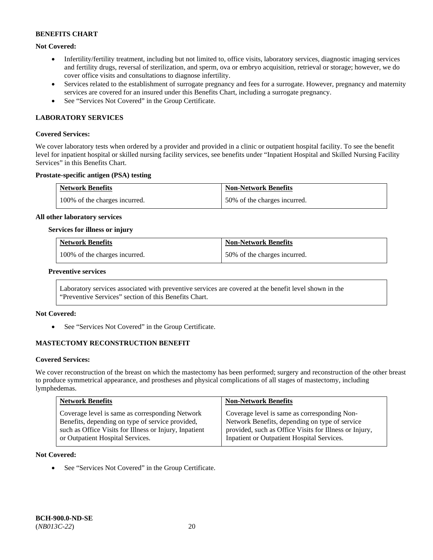### **Not Covered:**

- Infertility/fertility treatment, including but not limited to, office visits, laboratory services, diagnostic imaging services and fertility drugs, reversal of sterilization, and sperm, ova or embryo acquisition, retrieval or storage; however, we do cover office visits and consultations to diagnose infertility.
- Services related to the establishment of surrogate pregnancy and fees for a surrogate. However, pregnancy and maternity services are covered for an insured under this Benefits Chart, including a surrogate pregnancy.
- See "Services Not Covered" in the Group Certificate.

### **LABORATORY SERVICES**

#### **Covered Services:**

We cover laboratory tests when ordered by a provider and provided in a clinic or outpatient hospital facility. To see the benefit level for inpatient hospital or skilled nursing facility services, see benefits under "Inpatient Hospital and Skilled Nursing Facility Services" in this Benefits Chart.

#### **Prostate-specific antigen (PSA) testing**

| <b>Network Benefits</b>       | <b>Non-Network Benefits</b>  |
|-------------------------------|------------------------------|
| 100% of the charges incurred. | 50% of the charges incurred. |

#### **All other laboratory services**

#### **Services for illness or injury**

| <b>Network Benefits</b>       | <b>Non-Network Benefits</b>  |
|-------------------------------|------------------------------|
| 100% of the charges incurred. | 50% of the charges incurred. |

#### **Preventive services**

Laboratory services associated with preventive services are covered at the benefit level shown in the "Preventive Services" section of this Benefits Chart.

#### **Not Covered:**

See "Services Not Covered" in the Group Certificate.

### **MASTECTOMY RECONSTRUCTION BENEFIT**

#### **Covered Services:**

We cover reconstruction of the breast on which the mastectomy has been performed; surgery and reconstruction of the other breast to produce symmetrical appearance, and prostheses and physical complications of all stages of mastectomy, including lymphedemas.

| <b>Network Benefits</b>                                | <b>Non-Network Benefits</b>                            |
|--------------------------------------------------------|--------------------------------------------------------|
| Coverage level is same as corresponding Network        | Coverage level is same as corresponding Non-           |
| Benefits, depending on type of service provided,       | Network Benefits, depending on type of service         |
| such as Office Visits for Illness or Injury, Inpatient | provided, such as Office Visits for Illness or Injury, |
| or Outpatient Hospital Services.                       | Inpatient or Outpatient Hospital Services.             |

#### **Not Covered:**

• See "Services Not Covered" in the Group Certificate.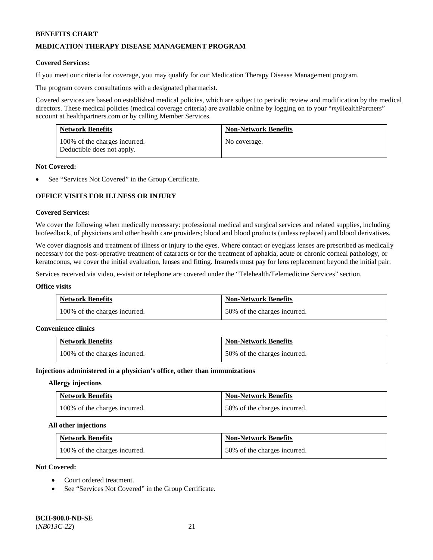### **MEDICATION THERAPY DISEASE MANAGEMENT PROGRAM**

### **Covered Services:**

If you meet our criteria for coverage, you may qualify for our Medication Therapy Disease Management program.

The program covers consultations with a designated pharmacist.

Covered services are based on established medical policies, which are subject to periodic review and modification by the medical directors. These medical policies (medical coverage criteria) are available online by logging on to your "*my*HealthPartners" account a[t healthpartners.com](http://www.healthpartners.com/) or by calling Member Services.

| <b>Network Benefits</b>                                     | <b>Non-Network Benefits</b> |
|-------------------------------------------------------------|-----------------------------|
| 100% of the charges incurred.<br>Deductible does not apply. | No coverage.                |

#### **Not Covered:**

See "Services Not Covered" in the Group Certificate.

# **OFFICE VISITS FOR ILLNESS OR INJURY**

### **Covered Services:**

We cover the following when medically necessary: professional medical and surgical services and related supplies, including biofeedback, of physicians and other health care providers; blood and blood products (unless replaced) and blood derivatives.

We cover diagnosis and treatment of illness or injury to the eyes. Where contact or eyeglass lenses are prescribed as medically necessary for the post-operative treatment of cataracts or for the treatment of aphakia, acute or chronic corneal pathology, or keratoconus, we cover the initial evaluation, lenses and fitting. Insureds must pay for lens replacement beyond the initial pair.

Services received via video, e-visit or telephone are covered under the "Telehealth/Telemedicine Services" section.

#### **Office visits**

| <b>Network Benefits</b>       | <b>Non-Network Benefits</b>  |
|-------------------------------|------------------------------|
| 100% of the charges incurred. | 50% of the charges incurred. |

#### **Convenience clinics**

| <b>Network Benefits</b>       | <b>Non-Network Benefits</b>  |
|-------------------------------|------------------------------|
| 100% of the charges incurred. | 50% of the charges incurred. |

#### **Injections administered in a physician's office, other than immunizations**

#### **Allergy injections**

| <b>Network Benefits</b>       | <b>Non-Network Benefits</b>  |
|-------------------------------|------------------------------|
| 100% of the charges incurred. | 50% of the charges incurred. |

#### **All other injections**

| <b>Network Benefits</b>       | <b>Non-Network Benefits</b>  |
|-------------------------------|------------------------------|
| 100% of the charges incurred. | 50% of the charges incurred. |

### **Not Covered:**

- Court ordered treatment.
- See "Services Not Covered" in the Group Certificate.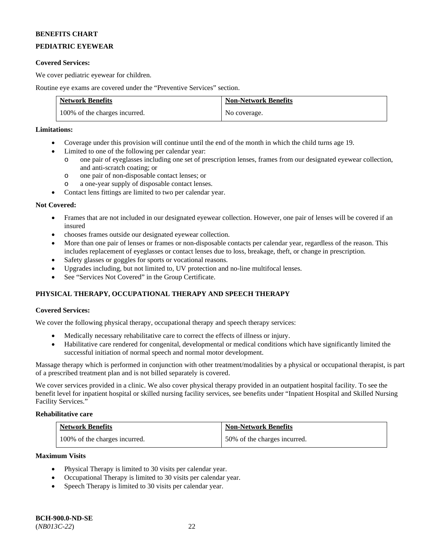# **PEDIATRIC EYEWEAR**

### **Covered Services:**

We cover pediatric eyewear for children.

Routine eye exams are covered under the "Preventive Services" section.

| <b>Network Benefits</b>       | <b>Non-Network Benefits</b> |
|-------------------------------|-----------------------------|
| 100% of the charges incurred. | No coverage.                |

### **Limitations:**

- Coverage under this provision will continue until the end of the month in which the child turns age 19.
- Limited to one of the following per calendar year:
	- o one pair of eyeglasses including one set of prescription lenses, frames from our designated eyewear collection, and anti-scratch coating; or
	- o one pair of non-disposable contact lenses; or
	- o a one-year supply of disposable contact lenses.
- Contact lens fittings are limited to two per calendar year.

### **Not Covered:**

- Frames that are not included in our designated eyewear collection. However, one pair of lenses will be covered if an insured
- chooses frames outside our designated eyewear collection.
- More than one pair of lenses or frames or non-disposable contacts per calendar year, regardless of the reason. This includes replacement of eyeglasses or contact lenses due to loss, breakage, theft, or change in prescription.
- Safety glasses or goggles for sports or vocational reasons.
- Upgrades including, but not limited to, UV protection and no-line multifocal lenses.
- See "Services Not Covered" in the Group Certificate.

# **PHYSICAL THERAPY, OCCUPATIONAL THERAPY AND SPEECH THERAPY**

### **Covered Services:**

We cover the following physical therapy, occupational therapy and speech therapy services:

- Medically necessary rehabilitative care to correct the effects of illness or injury.
- Habilitative care rendered for congenital, developmental or medical conditions which have significantly limited the successful initiation of normal speech and normal motor development.

Massage therapy which is performed in conjunction with other treatment/modalities by a physical or occupational therapist, is part of a prescribed treatment plan and is not billed separately is covered.

We cover services provided in a clinic. We also cover physical therapy provided in an outpatient hospital facility. To see the benefit level for inpatient hospital or skilled nursing facility services, see benefits under "Inpatient Hospital and Skilled Nursing Facility Services."

### **Rehabilitative care**

| <b>Network Benefits</b>       | <b>Non-Network Benefits</b>  |
|-------------------------------|------------------------------|
| 100% of the charges incurred. | 50% of the charges incurred. |

#### **Maximum Visits**

- Physical Therapy is limited to 30 visits per calendar year.
- Occupational Therapy is limited to 30 visits per calendar year.
- Speech Therapy is limited to 30 visits per calendar year.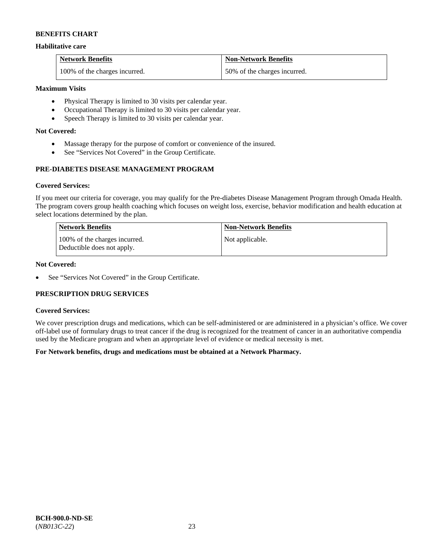### **Habilitative care**

| <b>Network Benefits</b>       | <b>Non-Network Benefits</b>  |
|-------------------------------|------------------------------|
| 100% of the charges incurred. | 50% of the charges incurred. |

### **Maximum Visits**

- Physical Therapy is limited to 30 visits per calendar year.
- Occupational Therapy is limited to 30 visits per calendar year.
- Speech Therapy is limited to 30 visits per calendar year.

### **Not Covered:**

- Massage therapy for the purpose of comfort or convenience of the insured.
- See "Services Not Covered" in the Group Certificate.

# **PRE-DIABETES DISEASE MANAGEMENT PROGRAM**

### **Covered Services:**

If you meet our criteria for coverage, you may qualify for the Pre-diabetes Disease Management Program through Omada Health. The program covers group health coaching which focuses on weight loss, exercise, behavior modification and health education at select locations determined by the plan.

| Network Benefits                                            | <b>Non-Network Benefits</b> |
|-------------------------------------------------------------|-----------------------------|
| 100% of the charges incurred.<br>Deductible does not apply. | Not applicable.             |

### **Not Covered:**

• See "Services Not Covered" in the Group Certificate.

### **PRESCRIPTION DRUG SERVICES**

#### **Covered Services:**

We cover prescription drugs and medications, which can be self-administered or are administered in a physician's office. We cover off-label use of formulary drugs to treat cancer if the drug is recognized for the treatment of cancer in an authoritative compendia used by the Medicare program and when an appropriate level of evidence or medical necessity is met.

### **For Network benefits, drugs and medications must be obtained at a Network Pharmacy.**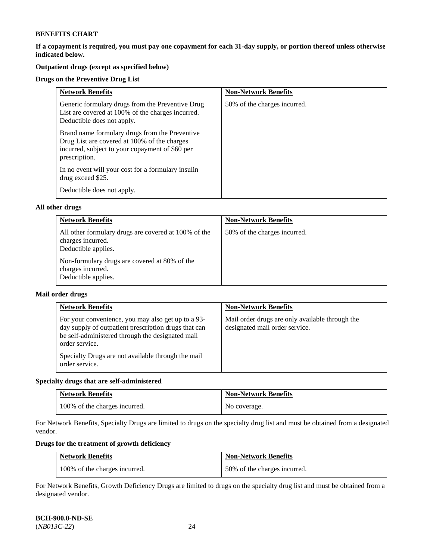**If a copayment is required, you must pay one copayment for each 31-day supply, or portion thereof unless otherwise indicated below.** 

# **Outpatient drugs (except as specified below)**

### **Drugs on the Preventive Drug List**

| <b>Network Benefits</b>                                                                                                                                            | <b>Non-Network Benefits</b>  |
|--------------------------------------------------------------------------------------------------------------------------------------------------------------------|------------------------------|
| Generic formulary drugs from the Preventive Drug<br>List are covered at 100% of the charges incurred.<br>Deductible does not apply.                                | 50% of the charges incurred. |
| Brand name formulary drugs from the Preventive<br>Drug List are covered at 100% of the charges<br>incurred, subject to your copayment of \$60 per<br>prescription. |                              |
| In no event will your cost for a formulary insulin<br>drug exceed \$25.                                                                                            |                              |
| Deductible does not apply.                                                                                                                                         |                              |

#### **All other drugs**

| <b>Network Benefits</b>                                                                          | <b>Non-Network Benefits</b>  |
|--------------------------------------------------------------------------------------------------|------------------------------|
| All other formulary drugs are covered at 100% of the<br>charges incurred.<br>Deductible applies. | 50% of the charges incurred. |
| Non-formulary drugs are covered at 80% of the<br>charges incurred.<br>Deductible applies.        |                              |

### **Mail order drugs**

| <b>Network Benefits</b>                                                                                                                                                                                                                                  | <b>Non-Network Benefits</b>                                                       |
|----------------------------------------------------------------------------------------------------------------------------------------------------------------------------------------------------------------------------------------------------------|-----------------------------------------------------------------------------------|
| For your convenience, you may also get up to a 93-<br>day supply of outpatient prescription drugs that can<br>be self-administered through the designated mail<br>order service.<br>Specialty Drugs are not available through the mail<br>order service. | Mail order drugs are only available through the<br>designated mail order service. |

### **Specialty drugs that are self-administered**

| <b>Network Benefits</b>       | <b>Non-Network Benefits</b> |
|-------------------------------|-----------------------------|
| 100% of the charges incurred. | No coverage.                |

For Network Benefits, Specialty Drugs are limited to drugs on the specialty drug list and must be obtained from a designated vendor.

# **Drugs for the treatment of growth deficiency**

| <b>Network Benefits</b>       | <b>Non-Network Benefits</b>  |
|-------------------------------|------------------------------|
| 100% of the charges incurred. | 50% of the charges incurred. |

For Network Benefits, Growth Deficiency Drugs are limited to drugs on the specialty drug list and must be obtained from a designated vendor.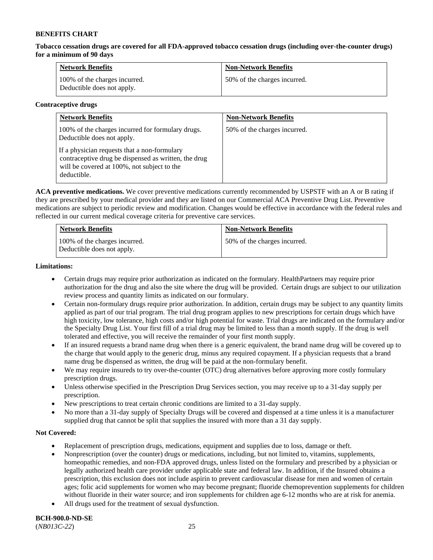**Tobacco cessation drugs are covered for all FDA-approved tobacco cessation drugs (including over-the-counter drugs) for a minimum of 90 days**

| <b>Network Benefits</b>                                     | <b>Non-Network Benefits</b>  |
|-------------------------------------------------------------|------------------------------|
| 100% of the charges incurred.<br>Deductible does not apply. | 50% of the charges incurred. |

### **Contraceptive drugs**

| <b>Network Benefits</b>                                                                                                                                            | <b>Non-Network Benefits</b>  |
|--------------------------------------------------------------------------------------------------------------------------------------------------------------------|------------------------------|
| 100% of the charges incurred for formulary drugs.<br>Deductible does not apply.                                                                                    | 50% of the charges incurred. |
| If a physician requests that a non-formulary<br>contraceptive drug be dispensed as written, the drug<br>will be covered at 100%, not subject to the<br>deductible. |                              |

**ACA preventive medications.** We cover preventive medications currently recommended by USPSTF with an A or B rating if they are prescribed by your medical provider and they are listed on our Commercial ACA Preventive Drug List. Preventive medications are subject to periodic review and modification. Changes would be effective in accordance with the federal rules and reflected in our current medical coverage criteria for preventive care services.

| <b>Network Benefits</b>                                     | <b>Non-Network Benefits</b>  |
|-------------------------------------------------------------|------------------------------|
| 100% of the charges incurred.<br>Deductible does not apply. | 50% of the charges incurred. |

### **Limitations:**

- Certain drugs may require prior authorization as indicated on the formulary. HealthPartners may require prior authorization for the drug and also the site where the drug will be provided. Certain drugs are subject to our utilization review process and quantity limits as indicated on our formulary.
- Certain non-formulary drugs require prior authorization. In addition, certain drugs may be subject to any quantity limits applied as part of our trial program. The trial drug program applies to new prescriptions for certain drugs which have high toxicity, low tolerance, high costs and/or high potential for waste. Trial drugs are indicated on the formulary and/or the Specialty Drug List. Your first fill of a trial drug may be limited to less than a month supply. If the drug is well tolerated and effective, you will receive the remainder of your first month supply.
- If an insured requests a brand name drug when there is a generic equivalent, the brand name drug will be covered up to the charge that would apply to the generic drug, minus any required copayment. If a physician requests that a brand name drug be dispensed as written, the drug will be paid at the non-formulary benefit.
- We may require insureds to try over-the-counter (OTC) drug alternatives before approving more costly formulary prescription drugs.
- Unless otherwise specified in the Prescription Drug Services section, you may receive up to a 31-day supply per prescription.
- New prescriptions to treat certain chronic conditions are limited to a 31-day supply.
- No more than a 31-day supply of Specialty Drugs will be covered and dispensed at a time unless it is a manufacturer supplied drug that cannot be split that supplies the insured with more than a 31 day supply.

### **Not Covered:**

- Replacement of prescription drugs, medications, equipment and supplies due to loss, damage or theft.
- Nonprescription (over the counter) drugs or medications, including, but not limited to, vitamins, supplements, homeopathic remedies, and non-FDA approved drugs, unless listed on the formulary and prescribed by a physician or legally authorized health care provider under applicable state and federal law. In addition, if the Insured obtains a prescription, this exclusion does not include aspirin to prevent cardiovascular disease for men and women of certain ages; folic acid supplements for women who may become pregnant; fluoride chemoprevention supplements for children without fluoride in their water source; and iron supplements for children age 6-12 months who are at risk for anemia.
- All drugs used for the treatment of sexual dysfunction.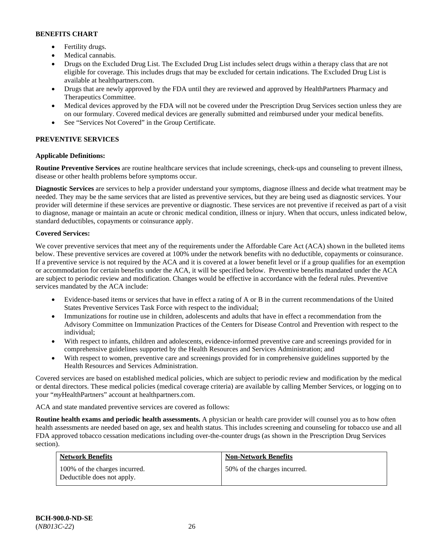- Fertility drugs.
- Medical cannabis.
- Drugs on the Excluded Drug List. The Excluded Drug List includes select drugs within a therapy class that are not eligible for coverage. This includes drugs that may be excluded for certain indications. The Excluded Drug List is available at [healthpartners.com.](http://www.healthpartners.com/)
- Drugs that are newly approved by the FDA until they are reviewed and approved by HealthPartners Pharmacy and Therapeutics Committee.
- Medical devices approved by the FDA will not be covered under the Prescription Drug Services section unless they are on our formulary. Covered medical devices are generally submitted and reimbursed under your medical benefits.
- See "Services Not Covered" in the Group Certificate.

# **PREVENTIVE SERVICES**

# **Applicable Definitions:**

**Routine Preventive Services** are routine healthcare services that include screenings, check-ups and counseling to prevent illness, disease or other health problems before symptoms occur.

**Diagnostic Services** are services to help a provider understand your symptoms, diagnose illness and decide what treatment may be needed. They may be the same services that are listed as preventive services, but they are being used as diagnostic services. Your provider will determine if these services are preventive or diagnostic. These services are not preventive if received as part of a visit to diagnose, manage or maintain an acute or chronic medical condition, illness or injury. When that occurs, unless indicated below, standard deductibles, copayments or coinsurance apply.

### **Covered Services:**

We cover preventive services that meet any of the requirements under the Affordable Care Act (ACA) shown in the bulleted items below. These preventive services are covered at 100% under the network benefits with no deductible, copayments or coinsurance. If a preventive service is not required by the ACA and it is covered at a lower benefit level or if a group qualifies for an exemption or accommodation for certain benefits under the ACA, it will be specified below. Preventive benefits mandated under the ACA are subject to periodic review and modification. Changes would be effective in accordance with the federal rules. Preventive services mandated by the ACA include:

- Evidence-based items or services that have in effect a rating of A or B in the current recommendations of the United States Preventive Services Task Force with respect to the individual;
- Immunizations for routine use in children, adolescents and adults that have in effect a recommendation from the Advisory Committee on Immunization Practices of the Centers for Disease Control and Prevention with respect to the individual;
- With respect to infants, children and adolescents, evidence-informed preventive care and screenings provided for in comprehensive guidelines supported by the Health Resources and Services Administration; and
- With respect to women, preventive care and screenings provided for in comprehensive guidelines supported by the Health Resources and Services Administration.

Covered services are based on established medical policies, which are subject to periodic review and modification by the medical or dental directors. These medical policies (medical coverage criteria) are available by calling Member Services, or logging on to your "*my*HealthPartners" account at [healthpartners.com.](http://www.healthpartners.com/) 

ACA and state mandated preventive services are covered as follows:

**Routine health exams and periodic health assessments.** A physician or health care provider will counsel you as to how often health assessments are needed based on age, sex and health status. This includes screening and counseling for tobacco use and all FDA approved tobacco cessation medications including over-the-counter drugs (as shown in the Prescription Drug Services section).

| <b>Network Benefits</b>                                     | <b>Non-Network Benefits</b>  |
|-------------------------------------------------------------|------------------------------|
| 100% of the charges incurred.<br>Deductible does not apply. | 50% of the charges incurred. |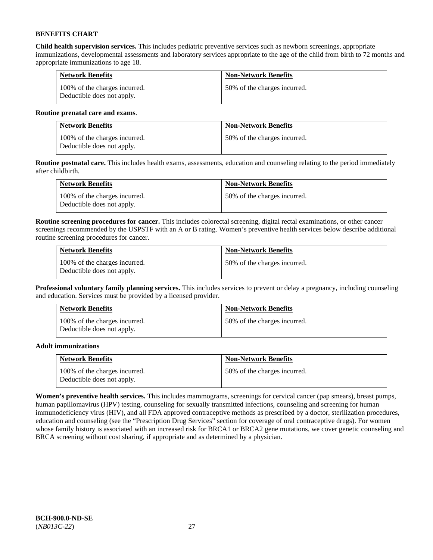**Child health supervision services.** This includes pediatric preventive services such as newborn screenings, appropriate immunizations, developmental assessments and laboratory services appropriate to the age of the child from birth to 72 months and appropriate immunizations to age 18.

| <b>Network Benefits</b>                                     | <b>Non-Network Benefits</b>  |
|-------------------------------------------------------------|------------------------------|
| 100% of the charges incurred.<br>Deductible does not apply. | 50% of the charges incurred. |

### **Routine prenatal care and exams**.

| <b>Network Benefits</b>                                     | <b>Non-Network Benefits</b>  |
|-------------------------------------------------------------|------------------------------|
| 100% of the charges incurred.<br>Deductible does not apply. | 50% of the charges incurred. |

**Routine postnatal care.** This includes health exams, assessments, education and counseling relating to the period immediately after childbirth.

| <b>Network Benefits</b>                                     | <b>Non-Network Benefits</b>  |
|-------------------------------------------------------------|------------------------------|
| 100% of the charges incurred.<br>Deductible does not apply. | 50% of the charges incurred. |

**Routine screening procedures for cancer.** This includes colorectal screening, digital rectal examinations, or other cancer screenings recommended by the USPSTF with an A or B rating. Women's preventive health services below describe additional routine screening procedures for cancer.

| <b>Network Benefits</b>                                     | <b>Non-Network Benefits</b>  |
|-------------------------------------------------------------|------------------------------|
| 100% of the charges incurred.<br>Deductible does not apply. | 50% of the charges incurred. |

**Professional voluntary family planning services.** This includes services to prevent or delay a pregnancy, including counseling and education. Services must be provided by a licensed provider.

| <b>Network Benefits</b>                                     | <b>Non-Network Benefits</b>  |
|-------------------------------------------------------------|------------------------------|
| 100% of the charges incurred.<br>Deductible does not apply. | 50% of the charges incurred. |

### **Adult immunizations**

| <b>Network Benefits</b>                                     | <b>Non-Network Benefits</b>  |
|-------------------------------------------------------------|------------------------------|
| 100% of the charges incurred.<br>Deductible does not apply. | 50% of the charges incurred. |

**Women's preventive health services.** This includes mammograms, screenings for cervical cancer (pap smears), breast pumps, human papillomavirus (HPV) testing, counseling for sexually transmitted infections, counseling and screening for human immunodeficiency virus (HIV), and all FDA approved contraceptive methods as prescribed by a doctor, sterilization procedures, education and counseling (see the "Prescription Drug Services" section for coverage of oral contraceptive drugs). For women whose family history is associated with an increased risk for BRCA1 or BRCA2 gene mutations, we cover genetic counseling and BRCA screening without cost sharing, if appropriate and as determined by a physician.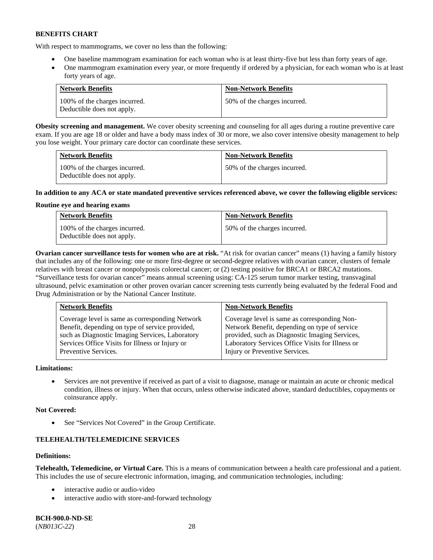With respect to mammograms, we cover no less than the following:

- One baseline mammogram examination for each woman who is at least thirty-five but less than forty years of age.
- One mammogram examination every year, or more frequently if ordered by a physician, for each woman who is at least forty years of age.

| <b>Network Benefits</b>                                     | <b>Non-Network Benefits</b>  |
|-------------------------------------------------------------|------------------------------|
| 100% of the charges incurred.<br>Deductible does not apply. | 50% of the charges incurred. |

**Obesity screening and management.** We cover obesity screening and counseling for all ages during a routine preventive care exam. If you are age 18 or older and have a body mass index of 30 or more, we also cover intensive obesity management to help you lose weight. Your primary care doctor can coordinate these services.

| <b>Network Benefits</b>                                     | <b>Non-Network Benefits</b>  |
|-------------------------------------------------------------|------------------------------|
| 100% of the charges incurred.<br>Deductible does not apply. | 50% of the charges incurred. |

### **In addition to any ACA or state mandated preventive services referenced above, we cover the following eligible services:**

### **Routine eye and hearing exams**

| <b>Network Benefits</b>                                     | <b>Non-Network Benefits</b>  |
|-------------------------------------------------------------|------------------------------|
| 100% of the charges incurred.<br>Deductible does not apply. | 50% of the charges incurred. |

**Ovarian cancer surveillance tests for women who are at risk.** "At risk for ovarian cancer" means (1) having a family history that includes any of the following: one or more first-degree or second-degree relatives with ovarian cancer, clusters of female relatives with breast cancer or nonpolyposis colorectal cancer; or (2) testing positive for BRCA1 or BRCA2 mutations. "Surveillance tests for ovarian cancer" means annual screening using: CA-125 serum tumor marker testing, transvaginal ultrasound, pelvic examination or other proven ovarian cancer screening tests currently being evaluated by the federal Food and Drug Administration or by the National Cancer Institute.

| <b>Network Benefits</b>                         | <b>Non-Network Benefits</b>                      |
|-------------------------------------------------|--------------------------------------------------|
| Coverage level is same as corresponding Network | Coverage level is same as corresponding Non-     |
| Benefit, depending on type of service provided, | Network Benefit, depending on type of service    |
| such as Diagnostic Imaging Services, Laboratory | provided, such as Diagnostic Imaging Services,   |
| Services Office Visits for Illness or Injury or | Laboratory Services Office Visits for Illness or |
| Preventive Services.                            | Injury or Preventive Services.                   |

### **Limitations:**

• Services are not preventive if received as part of a visit to diagnose, manage or maintain an acute or chronic medical condition, illness or injury. When that occurs, unless otherwise indicated above, standard deductibles, copayments or coinsurance apply.

### **Not Covered:**

See "Services Not Covered" in the Group Certificate.

# **TELEHEALTH/TELEMEDICINE SERVICES**

### **Definitions:**

**Telehealth, Telemedicine, or Virtual Care.** This is a means of communication between a health care professional and a patient. This includes the use of secure electronic information, imaging, and communication technologies, including:

- interactive audio or audio-video
- interactive audio with store-and-forward technology

**BCH-900.0-ND-SE** (*NB013C-22*) 28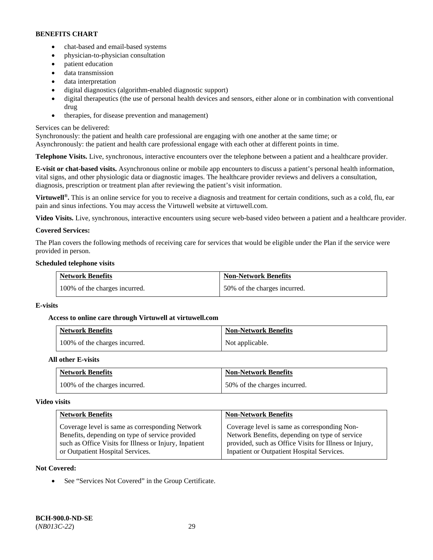- chat-based and email-based systems
- physician-to-physician consultation
- patient education
- data transmission
- data interpretation
- digital diagnostics (algorithm-enabled diagnostic support)
- digital therapeutics (the use of personal health devices and sensors, either alone or in combination with conventional drug
- therapies, for disease prevention and management)

### Services can be delivered:

Synchronously: the patient and health care professional are engaging with one another at the same time; or Asynchronously: the patient and health care professional engage with each other at different points in time.

**Telephone Visits.** Live, synchronous, interactive encounters over the telephone between a patient and a healthcare provider.

**E-visit or chat-based visits.** Asynchronous online or mobile app encounters to discuss a patient's personal health information, vital signs, and other physiologic data or diagnostic images. The healthcare provider reviews and delivers a consultation, diagnosis, prescription or treatment plan after reviewing the patient's visit information.

**Virtuwell<sup>®</sup>.** This is an online service for you to receive a diagnosis and treatment for certain conditions, such as a cold, flu, ear pain and sinus infections. You may access the Virtuwell website at [virtuwell.com.](https://www.virtuwell.com/)

**Video Visits.** Live, synchronous, interactive encounters using secure web-based video between a patient and a healthcare provider.

### **Covered Services:**

The Plan covers the following methods of receiving care for services that would be eligible under the Plan if the service were provided in person.

### **Scheduled telephone visits**

| <b>Network Benefits</b>       | <b>Non-Network Benefits</b>  |
|-------------------------------|------------------------------|
| 100% of the charges incurred. | 50% of the charges incurred. |

### **E-visits**

### **Access to online care through Virtuwell at [virtuwell.com](https://www.virtuwell.com/)**

| <b>Network Benefits</b>       | <b>Non-Network Benefits</b> |
|-------------------------------|-----------------------------|
| 100% of the charges incurred. | Not applicable.             |

### **All other E-visits**

| <b>Network Benefits</b>       | <b>Non-Network Benefits</b>  |
|-------------------------------|------------------------------|
| 100% of the charges incurred. | 50% of the charges incurred. |

#### **Video visits**

| <b>Network Benefits</b>                                | <b>Non-Network Benefits</b>                            |
|--------------------------------------------------------|--------------------------------------------------------|
| Coverage level is same as corresponding Network        | Coverage level is same as corresponding Non-           |
| Benefits, depending on type of service provided        | Network Benefits, depending on type of service         |
| such as Office Visits for Illness or Injury, Inpatient | provided, such as Office Visits for Illness or Injury, |
| or Outpatient Hospital Services.                       | Inpatient or Outpatient Hospital Services.             |

### **Not Covered:**

See "Services Not Covered" in the Group Certificate.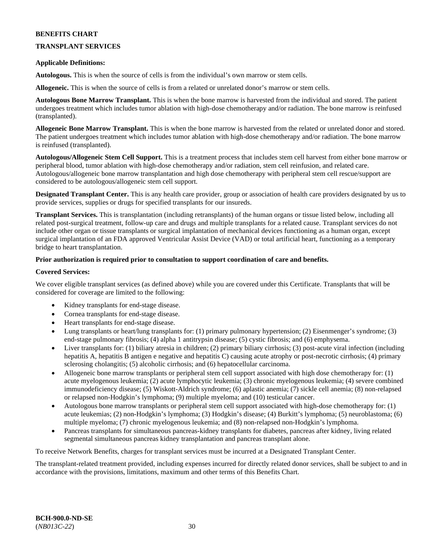### **TRANSPLANT SERVICES**

### **Applicable Definitions:**

**Autologous.** This is when the source of cells is from the individual's own marrow or stem cells.

**Allogeneic.** This is when the source of cells is from a related or unrelated donor's marrow or stem cells.

**Autologous Bone Marrow Transplant.** This is when the bone marrow is harvested from the individual and stored. The patient undergoes treatment which includes tumor ablation with high-dose chemotherapy and/or radiation. The bone marrow is reinfused (transplanted).

**Allogeneic Bone Marrow Transplant.** This is when the bone marrow is harvested from the related or unrelated donor and stored. The patient undergoes treatment which includes tumor ablation with high-dose chemotherapy and/or radiation. The bone marrow is reinfused (transplanted).

**Autologous/Allogeneic Stem Cell Support.** This is a treatment process that includes stem cell harvest from either bone marrow or peripheral blood, tumor ablation with high-dose chemotherapy and/or radiation, stem cell reinfusion, and related care. Autologous/allogeneic bone marrow transplantation and high dose chemotherapy with peripheral stem cell rescue/support are considered to be autologous/allogeneic stem cell support.

**Designated Transplant Center.** This is any health care provider, group or association of health care providers designated by us to provide services, supplies or drugs for specified transplants for our insureds.

**Transplant Services.** This is transplantation (including retransplants) of the human organs or tissue listed below, including all related post-surgical treatment, follow-up care and drugs and multiple transplants for a related cause. Transplant services do not include other organ or tissue transplants or surgical implantation of mechanical devices functioning as a human organ, except surgical implantation of an FDA approved Ventricular Assist Device (VAD) or total artificial heart, functioning as a temporary bridge to heart transplantation.

### **Prior authorization is required prior to consultation to support coordination of care and benefits.**

### **Covered Services:**

We cover eligible transplant services (as defined above) while you are covered under this Certificate. Transplants that will be considered for coverage are limited to the following:

- Kidney transplants for end-stage disease.
- Cornea transplants for end-stage disease.
- Heart transplants for end-stage disease.
- Lung transplants or heart/lung transplants for: (1) primary pulmonary hypertension; (2) Eisenmenger's syndrome; (3) end-stage pulmonary fibrosis; (4) alpha 1 antitrypsin disease; (5) cystic fibrosis; and (6) emphysema.
- Liver transplants for: (1) biliary atresia in children; (2) primary biliary cirrhosis; (3) post-acute viral infection (including hepatitis A, hepatitis B antigen e negative and hepatitis C) causing acute atrophy or post-necrotic cirrhosis; (4) primary sclerosing cholangitis; (5) alcoholic cirrhosis; and (6) hepatocellular carcinoma.
- Allogeneic bone marrow transplants or peripheral stem cell support associated with high dose chemotherapy for: (1) acute myelogenous leukemia; (2) acute lymphocytic leukemia; (3) chronic myelogenous leukemia; (4) severe combined immunodeficiency disease; (5) Wiskott-Aldrich syndrome; (6) aplastic anemia; (7) sickle cell anemia; (8) non-relapsed or relapsed non-Hodgkin's lymphoma; (9) multiple myeloma; and (10) testicular cancer.
- Autologous bone marrow transplants or peripheral stem cell support associated with high-dose chemotherapy for: (1) acute leukemias; (2) non-Hodgkin's lymphoma; (3) Hodgkin's disease; (4) Burkitt's lymphoma; (5) neuroblastoma; (6) multiple myeloma; (7) chronic myelogenous leukemia; and (8) non-relapsed non-Hodgkin's lymphoma.
- Pancreas transplants for simultaneous pancreas-kidney transplants for diabetes, pancreas after kidney, living related segmental simultaneous pancreas kidney transplantation and pancreas transplant alone.

To receive Network Benefits, charges for transplant services must be incurred at a Designated Transplant Center.

The transplant-related treatment provided, including expenses incurred for directly related donor services, shall be subject to and in accordance with the provisions, limitations, maximum and other terms of this Benefits Chart.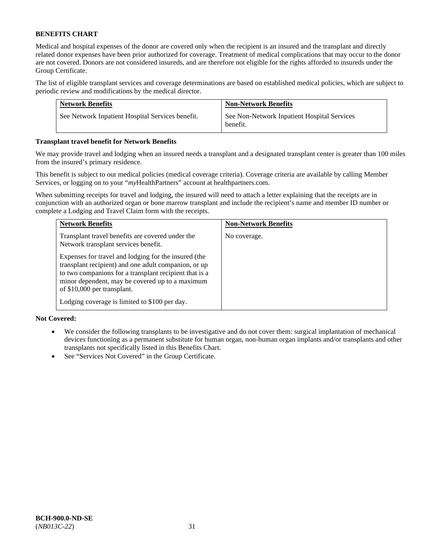Medical and hospital expenses of the donor are covered only when the recipient is an insured and the transplant and directly related donor expenses have been prior authorized for coverage. Treatment of medical complications that may occur to the donor are not covered. Donors are not considered insureds, and are therefore not eligible for the rights afforded to insureds under the Group Certificate.

The list of eligible transplant services and coverage determinations are based on established medical policies, which are subject to periodic review and modifications by the medical director.

| <b>Network Benefits</b>                          | <b>Non-Network Benefits</b>                             |
|--------------------------------------------------|---------------------------------------------------------|
| See Network Inpatient Hospital Services benefit. | See Non-Network Inpatient Hospital Services<br>benefit. |

### **Transplant travel benefit for Network Benefits**

We may provide travel and lodging when an insured needs a transplant and a designated transplant center is greater than 100 miles from the insured's primary residence.

This benefit is subject to our medical policies (medical coverage criteria). Coverage criteria are available by calling Member Services, or logging on to your "*my*HealthPartners" account a[t healthpartners.com.](http://healthpartners.com/)

When submitting receipts for travel and lodging, the insured will need to attach a letter explaining that the receipts are in conjunction with an authorized organ or bone marrow transplant and include the recipient's name and member ID number or complete a Lodging and Travel Claim form with the receipts.

| <b>Network Benefits</b>                                                                                                                                                                                                                                  | <b>Non-Network Benefits</b> |
|----------------------------------------------------------------------------------------------------------------------------------------------------------------------------------------------------------------------------------------------------------|-----------------------------|
| Transplant travel benefits are covered under the<br>Network transplant services benefit.                                                                                                                                                                 | No coverage.                |
| Expenses for travel and lodging for the insured (the<br>transplant recipient) and one adult companion, or up<br>to two companions for a transplant recipient that is a<br>minor dependent, may be covered up to a maximum<br>of \$10,000 per transplant. |                             |
| Lodging coverage is limited to \$100 per day.                                                                                                                                                                                                            |                             |

### **Not Covered:**

- We consider the following transplants to be investigative and do not cover them: surgical implantation of mechanical devices functioning as a permanent substitute for human organ, non-human organ implants and/or transplants and other transplants not specifically listed in this Benefits Chart.
- See "Services Not Covered" in the Group Certificate.